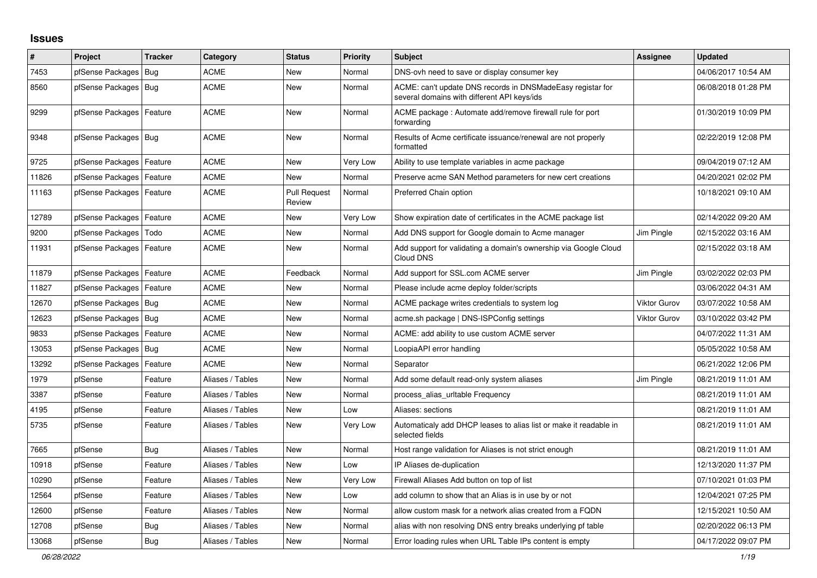## **Issues**

| #     | Project                    | <b>Tracker</b> | Category         | <b>Status</b>                 | <b>Priority</b> | <b>Subject</b>                                                                                            | Assignee            | Updated             |
|-------|----------------------------|----------------|------------------|-------------------------------|-----------------|-----------------------------------------------------------------------------------------------------------|---------------------|---------------------|
| 7453  | pfSense Packages           | <b>Bug</b>     | ACME             | New                           | Normal          | DNS-ovh need to save or display consumer key                                                              |                     | 04/06/2017 10:54 AM |
| 8560  | pfSense Packages   Bug     |                | <b>ACME</b>      | <b>New</b>                    | Normal          | ACME: can't update DNS records in DNSMadeEasy registar for<br>several domains with different API keys/ids |                     | 06/08/2018 01:28 PM |
| 9299  | pfSense Packages           | Feature        | <b>ACME</b>      | New                           | Normal          | ACME package : Automate add/remove firewall rule for port<br>forwarding                                   |                     | 01/30/2019 10:09 PM |
| 9348  | pfSense Packages   Bug     |                | ACME             | <b>New</b>                    | Normal          | Results of Acme certificate issuance/renewal are not properly<br>formatted                                |                     | 02/22/2019 12:08 PM |
| 9725  | pfSense Packages   Feature |                | <b>ACME</b>      | <b>New</b>                    | Very Low        | Ability to use template variables in acme package                                                         |                     | 09/04/2019 07:12 AM |
| 11826 | pfSense Packages           | Feature        | <b>ACME</b>      | <b>New</b>                    | Normal          | Preserve acme SAN Method parameters for new cert creations                                                |                     | 04/20/2021 02:02 PM |
| 11163 | pfSense Packages   Feature |                | ACME             | <b>Pull Request</b><br>Review | Normal          | Preferred Chain option                                                                                    |                     | 10/18/2021 09:10 AM |
| 12789 | pfSense Packages   Feature |                | ACME             | New                           | Very Low        | Show expiration date of certificates in the ACME package list                                             |                     | 02/14/2022 09:20 AM |
| 9200  | pfSense Packages           | Todo           | ACME             | New                           | Normal          | Add DNS support for Google domain to Acme manager                                                         | Jim Pingle          | 02/15/2022 03:16 AM |
| 11931 | pfSense Packages   Feature |                | ACME             | New                           | Normal          | Add support for validating a domain's ownership via Google Cloud<br>Cloud DNS                             |                     | 02/15/2022 03:18 AM |
| 11879 | pfSense Packages   Feature |                | <b>ACME</b>      | Feedback                      | Normal          | Add support for SSL.com ACME server                                                                       | Jim Pingle          | 03/02/2022 02:03 PM |
| 11827 | pfSense Packages           | Feature        | <b>ACME</b>      | <b>New</b>                    | Normal          | Please include acme deploy folder/scripts                                                                 |                     | 03/06/2022 04:31 AM |
| 12670 | pfSense Packages   Bug     |                | <b>ACME</b>      | <b>New</b>                    | Normal          | ACME package writes credentials to system log                                                             | <b>Viktor Gurov</b> | 03/07/2022 10:58 AM |
| 12623 | pfSense Packages   Bug     |                | ACME             | <b>New</b>                    | Normal          | acme.sh package   DNS-ISPConfig settings                                                                  | <b>Viktor Gurov</b> | 03/10/2022 03:42 PM |
| 9833  | pfSense Packages   Feature |                | ACME             | New                           | Normal          | ACME: add ability to use custom ACME server                                                               |                     | 04/07/2022 11:31 AM |
| 13053 | pfSense Packages   Bug     |                | <b>ACME</b>      | New                           | Normal          | LoopiaAPI error handling                                                                                  |                     | 05/05/2022 10:58 AM |
| 13292 | pfSense Packages           | Feature        | ACME             | <b>New</b>                    | Normal          | Separator                                                                                                 |                     | 06/21/2022 12:06 PM |
| 1979  | pfSense                    | Feature        | Aliases / Tables | <b>New</b>                    | Normal          | Add some default read-only system aliases                                                                 | Jim Pingle          | 08/21/2019 11:01 AM |
| 3387  | pfSense                    | Feature        | Aliases / Tables | <b>New</b>                    | Normal          | process_alias_urltable Frequency                                                                          |                     | 08/21/2019 11:01 AM |
| 4195  | pfSense                    | Feature        | Aliases / Tables | <b>New</b>                    | Low             | Aliases: sections                                                                                         |                     | 08/21/2019 11:01 AM |
| 5735  | pfSense                    | Feature        | Aliases / Tables | New                           | Very Low        | Automaticaly add DHCP leases to alias list or make it readable in<br>selected fields                      |                     | 08/21/2019 11:01 AM |
| 7665  | pfSense                    | Bug            | Aliases / Tables | New                           | Normal          | Host range validation for Aliases is not strict enough                                                    |                     | 08/21/2019 11:01 AM |
| 10918 | pfSense                    | Feature        | Aliases / Tables | New                           | Low             | IP Aliases de-duplication                                                                                 |                     | 12/13/2020 11:37 PM |
| 10290 | pfSense                    | Feature        | Aliases / Tables | New                           | Very Low        | Firewall Aliases Add button on top of list                                                                |                     | 07/10/2021 01:03 PM |
| 12564 | pfSense                    | Feature        | Aliases / Tables | <b>New</b>                    | Low             | add column to show that an Alias is in use by or not                                                      |                     | 12/04/2021 07:25 PM |
| 12600 | pfSense                    | Feature        | Aliases / Tables | <b>New</b>                    | Normal          | allow custom mask for a network alias created from a FQDN                                                 |                     | 12/15/2021 10:50 AM |
| 12708 | pfSense                    | Bug            | Aliases / Tables | <b>New</b>                    | Normal          | alias with non resolving DNS entry breaks underlying pf table                                             |                     | 02/20/2022 06:13 PM |
| 13068 | pfSense                    | <b>Bug</b>     | Aliases / Tables | <b>New</b>                    | Normal          | Error loading rules when URL Table IPs content is empty                                                   |                     | 04/17/2022 09:07 PM |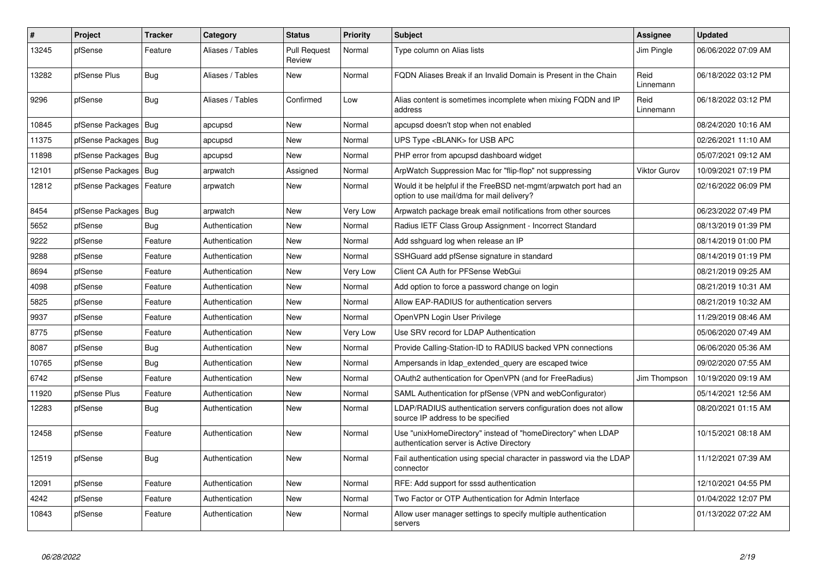| $\sharp$ | <b>Project</b>         | Tracker | Category         | <b>Status</b>                 | <b>Priority</b> | <b>Subject</b>                                                                                                | Assignee            | <b>Updated</b>      |
|----------|------------------------|---------|------------------|-------------------------------|-----------------|---------------------------------------------------------------------------------------------------------------|---------------------|---------------------|
| 13245    | pfSense                | Feature | Aliases / Tables | <b>Pull Request</b><br>Review | Normal          | Type column on Alias lists                                                                                    | Jim Pingle          | 06/06/2022 07:09 AM |
| 13282    | pfSense Plus           | Bug     | Aliases / Tables | New                           | Normal          | FQDN Aliases Break if an Invalid Domain is Present in the Chain                                               | Reid<br>Linnemann   | 06/18/2022 03:12 PM |
| 9296     | pfSense                | Bug     | Aliases / Tables | Confirmed                     | Low             | Alias content is sometimes incomplete when mixing FQDN and IP<br>address                                      | Reid<br>Linnemann   | 06/18/2022 03:12 PM |
| 10845    | pfSense Packages   Bug |         | apcupsd          | <b>New</b>                    | Normal          | apcupsd doesn't stop when not enabled                                                                         |                     | 08/24/2020 10:16 AM |
| 11375    | pfSense Packages   Bug |         | apcupsd          | <b>New</b>                    | Normal          | UPS Type <blank> for USB APC</blank>                                                                          |                     | 02/26/2021 11:10 AM |
| 11898    | pfSense Packages   Bug |         | apcupsd          | <b>New</b>                    | Normal          | PHP error from apcupsd dashboard widget                                                                       |                     | 05/07/2021 09:12 AM |
| 12101    | pfSense Packages   Bug |         | arpwatch         | Assigned                      | Normal          | ArpWatch Suppression Mac for "flip-flop" not suppressing                                                      | <b>Viktor Gurov</b> | 10/09/2021 07:19 PM |
| 12812    | pfSense Packages       | Feature | arpwatch         | <b>New</b>                    | Normal          | Would it be helpful if the FreeBSD net-mgmt/arpwatch port had an<br>option to use mail/dma for mail delivery? |                     | 02/16/2022 06:09 PM |
| 8454     | pfSense Packages   Bug |         | arpwatch         | New                           | Very Low        | Arpwatch package break email notifications from other sources                                                 |                     | 06/23/2022 07:49 PM |
| 5652     | pfSense                | Bug     | Authentication   | <b>New</b>                    | Normal          | Radius IETF Class Group Assignment - Incorrect Standard                                                       |                     | 08/13/2019 01:39 PM |
| 9222     | pfSense                | Feature | Authentication   | New                           | Normal          | Add sshguard log when release an IP                                                                           |                     | 08/14/2019 01:00 PM |
| 9288     | pfSense                | Feature | Authentication   | <b>New</b>                    | Normal          | SSHGuard add pfSense signature in standard                                                                    |                     | 08/14/2019 01:19 PM |
| 8694     | pfSense                | Feature | Authentication   | <b>New</b>                    | Very Low        | Client CA Auth for PFSense WebGui                                                                             |                     | 08/21/2019 09:25 AM |
| 4098     | pfSense                | Feature | Authentication   | New                           | Normal          | Add option to force a password change on login                                                                |                     | 08/21/2019 10:31 AM |
| 5825     | pfSense                | Feature | Authentication   | New                           | Normal          | Allow EAP-RADIUS for authentication servers                                                                   |                     | 08/21/2019 10:32 AM |
| 9937     | pfSense                | Feature | Authentication   | New                           | Normal          | OpenVPN Login User Privilege                                                                                  |                     | 11/29/2019 08:46 AM |
| 8775     | pfSense                | Feature | Authentication   | <b>New</b>                    | Very Low        | Use SRV record for LDAP Authentication                                                                        |                     | 05/06/2020 07:49 AM |
| 8087     | pfSense                | Bug     | Authentication   | New                           | Normal          | Provide Calling-Station-ID to RADIUS backed VPN connections                                                   |                     | 06/06/2020 05:36 AM |
| 10765    | pfSense                | Bug     | Authentication   | New                           | Normal          | Ampersands in Idap extended query are escaped twice                                                           |                     | 09/02/2020 07:55 AM |
| 6742     | pfSense                | Feature | Authentication   | New                           | Normal          | OAuth2 authentication for OpenVPN (and for FreeRadius)                                                        | Jim Thompson        | 10/19/2020 09:19 AM |
| 11920    | pfSense Plus           | Feature | Authentication   | New                           | Normal          | SAML Authentication for pfSense (VPN and webConfigurator)                                                     |                     | 05/14/2021 12:56 AM |
| 12283    | pfSense                | Bug     | Authentication   | New                           | Normal          | LDAP/RADIUS authentication servers configuration does not allow<br>source IP address to be specified          |                     | 08/20/2021 01:15 AM |
| 12458    | pfSense                | Feature | Authentication   | <b>New</b>                    | Normal          | Use "unixHomeDirectory" instead of "homeDirectory" when LDAP<br>authentication server is Active Directory     |                     | 10/15/2021 08:18 AM |
| 12519    | pfSense                | Bug     | Authentication   | New                           | Normal          | Fail authentication using special character in password via the LDAP<br>connector                             |                     | 11/12/2021 07:39 AM |
| 12091    | pfSense                | Feature | Authentication   | <b>New</b>                    | Normal          | RFE: Add support for sssd authentication                                                                      |                     | 12/10/2021 04:55 PM |
| 4242     | pfSense                | Feature | Authentication   | New                           | Normal          | Two Factor or OTP Authentication for Admin Interface                                                          |                     | 01/04/2022 12:07 PM |
| 10843    | pfSense                | Feature | Authentication   | <b>New</b>                    | Normal          | Allow user manager settings to specify multiple authentication<br>servers                                     |                     | 01/13/2022 07:22 AM |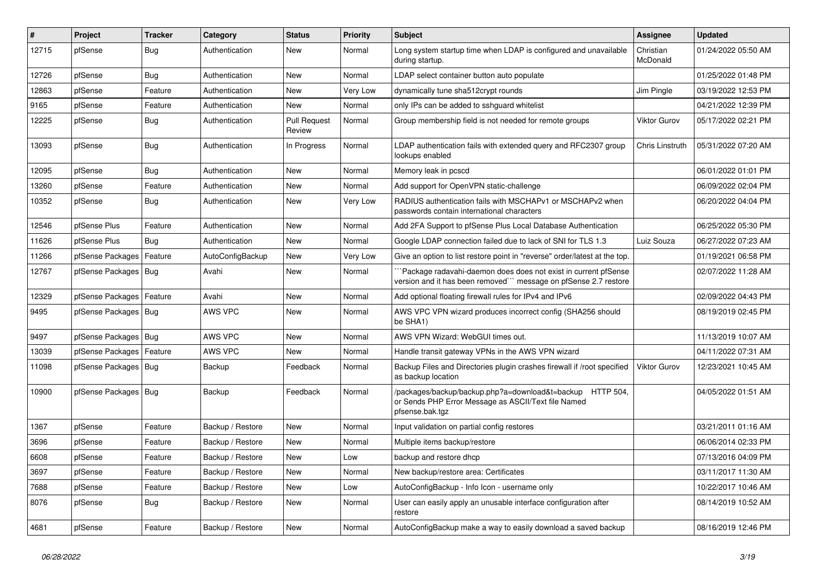| $\vert$ # | Project                | <b>Tracker</b> | Category         | <b>Status</b>                 | <b>Priority</b> | <b>Subject</b>                                                                                                                      | Assignee              | <b>Updated</b>      |
|-----------|------------------------|----------------|------------------|-------------------------------|-----------------|-------------------------------------------------------------------------------------------------------------------------------------|-----------------------|---------------------|
| 12715     | pfSense                | <b>Bug</b>     | Authentication   | New                           | Normal          | Long system startup time when LDAP is configured and unavailable<br>during startup.                                                 | Christian<br>McDonald | 01/24/2022 05:50 AM |
| 12726     | pfSense                | Bug            | Authentication   | New                           | Normal          | LDAP select container button auto populate                                                                                          |                       | 01/25/2022 01:48 PM |
| 12863     | pfSense                | Feature        | Authentication   | New                           | Very Low        | dynamically tune sha512crypt rounds                                                                                                 | Jim Pingle            | 03/19/2022 12:53 PM |
| 9165      | pfSense                | Feature        | Authentication   | <b>New</b>                    | Normal          | only IPs can be added to sshguard whitelist                                                                                         |                       | 04/21/2022 12:39 PM |
| 12225     | pfSense                | <b>Bug</b>     | Authentication   | <b>Pull Request</b><br>Review | Normal          | Group membership field is not needed for remote groups                                                                              | <b>Viktor Gurov</b>   | 05/17/2022 02:21 PM |
| 13093     | pfSense                | <b>Bug</b>     | Authentication   | In Progress                   | Normal          | LDAP authentication fails with extended query and RFC2307 group<br>lookups enabled                                                  | Chris Linstruth       | 05/31/2022 07:20 AM |
| 12095     | pfSense                | Bug            | Authentication   | New                           | Normal          | Memory leak in pcscd                                                                                                                |                       | 06/01/2022 01:01 PM |
| 13260     | pfSense                | Feature        | Authentication   | New                           | Normal          | Add support for OpenVPN static-challenge                                                                                            |                       | 06/09/2022 02:04 PM |
| 10352     | pfSense                | <b>Bug</b>     | Authentication   | <b>New</b>                    | Very Low        | RADIUS authentication fails with MSCHAPv1 or MSCHAPv2 when<br>passwords contain international characters                            |                       | 06/20/2022 04:04 PM |
| 12546     | pfSense Plus           | Feature        | Authentication   | New                           | Normal          | Add 2FA Support to pfSense Plus Local Database Authentication                                                                       |                       | 06/25/2022 05:30 PM |
| 11626     | pfSense Plus           | <b>Bug</b>     | Authentication   | New                           | Normal          | Google LDAP connection failed due to lack of SNI for TLS 1.3                                                                        | Luiz Souza            | 06/27/2022 07:23 AM |
| 11266     | pfSense Packages       | Feature        | AutoConfigBackup | <b>New</b>                    | Very Low        | Give an option to list restore point in "reverse" order/latest at the top.                                                          |                       | 01/19/2021 06:58 PM |
| 12767     | pfSense Packages   Bug |                | Avahi            | <b>New</b>                    | Normal          | Package radavahi-daemon does does not exist in current pfSense<br>version and it has been removed" message on pfSense 2.7 restore   |                       | 02/07/2022 11:28 AM |
| 12329     | pfSense Packages       | Feature        | Avahi            | <b>New</b>                    | Normal          | Add optional floating firewall rules for IPv4 and IPv6                                                                              |                       | 02/09/2022 04:43 PM |
| 9495      | pfSense Packages   Bug |                | AWS VPC          | New                           | Normal          | AWS VPC VPN wizard produces incorrect config (SHA256 should<br>be SHA1)                                                             |                       | 08/19/2019 02:45 PM |
| 9497      | pfSense Packages       | Bug            | AWS VPC          | New                           | Normal          | AWS VPN Wizard: WebGUI times out.                                                                                                   |                       | 11/13/2019 10:07 AM |
| 13039     | pfSense Packages       | Feature        | AWS VPC          | New                           | Normal          | Handle transit gateway VPNs in the AWS VPN wizard                                                                                   |                       | 04/11/2022 07:31 AM |
| 11098     | pfSense Packages   Bug |                | Backup           | Feedback                      | Normal          | Backup Files and Directories plugin crashes firewall if /root specified<br>as backup location                                       | <b>Viktor Gurov</b>   | 12/23/2021 10:45 AM |
| 10900     | pfSense Packages   Bug |                | Backup           | Feedback                      | Normal          | /packages/backup/backup.php?a=download&t=backup HTTP 504,<br>or Sends PHP Error Message as ASCII/Text file Named<br>pfsense.bak.tgz |                       | 04/05/2022 01:51 AM |
| 1367      | pfSense                | Feature        | Backup / Restore | New                           | Normal          | Input validation on partial config restores                                                                                         |                       | 03/21/2011 01:16 AM |
| 3696      | pfSense                | Feature        | Backup / Restore | <b>New</b>                    | Normal          | Multiple items backup/restore                                                                                                       |                       | 06/06/2014 02:33 PM |
| 6608      | pfSense                | Feature        | Backup / Restore | New                           | Low             | backup and restore dhcp                                                                                                             |                       | 07/13/2016 04:09 PM |
| 3697      | pfSense                | Feature        | Backup / Restore | New                           | Normal          | New backup/restore area: Certificates                                                                                               |                       | 03/11/2017 11:30 AM |
| 7688      | pfSense                | Feature        | Backup / Restore | <b>New</b>                    | Low             | AutoConfigBackup - Info Icon - username only                                                                                        |                       | 10/22/2017 10:46 AM |
| 8076      | pfSense                | Bug            | Backup / Restore | <b>New</b>                    | Normal          | User can easily apply an unusable interface configuration after<br>restore                                                          |                       | 08/14/2019 10:52 AM |
| 4681      | pfSense                | Feature        | Backup / Restore | New                           | Normal          | AutoConfigBackup make a way to easily download a saved backup                                                                       |                       | 08/16/2019 12:46 PM |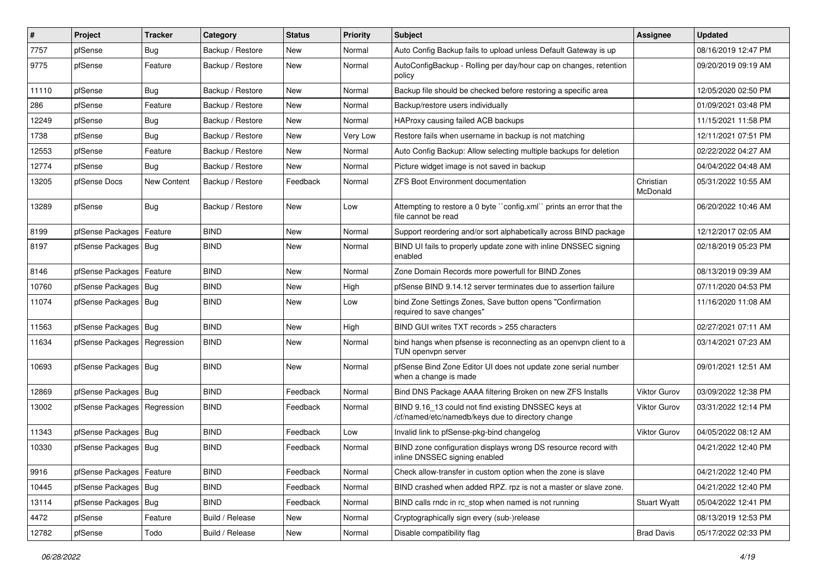| $\vert$ # | Project                       | <b>Tracker</b> | Category         | <b>Status</b> | <b>Priority</b> | Subject                                                                                                  | Assignee              | <b>Updated</b>      |
|-----------|-------------------------------|----------------|------------------|---------------|-----------------|----------------------------------------------------------------------------------------------------------|-----------------------|---------------------|
| 7757      | pfSense                       | Bug            | Backup / Restore | New           | Normal          | Auto Config Backup fails to upload unless Default Gateway is up                                          |                       | 08/16/2019 12:47 PM |
| 9775      | pfSense                       | Feature        | Backup / Restore | New           | Normal          | AutoConfigBackup - Rolling per day/hour cap on changes, retention<br>policy                              |                       | 09/20/2019 09:19 AM |
| 11110     | pfSense                       | Bug            | Backup / Restore | New           | Normal          | Backup file should be checked before restoring a specific area                                           |                       | 12/05/2020 02:50 PM |
| 286       | pfSense                       | Feature        | Backup / Restore | New           | Normal          | Backup/restore users individually                                                                        |                       | 01/09/2021 03:48 PM |
| 12249     | pfSense                       | Bug            | Backup / Restore | New           | Normal          | HAProxy causing failed ACB backups                                                                       |                       | 11/15/2021 11:58 PM |
| 1738      | pfSense                       | Bug            | Backup / Restore | New           | Very Low        | Restore fails when username in backup is not matching                                                    |                       | 12/11/2021 07:51 PM |
| 12553     | pfSense                       | Feature        | Backup / Restore | <b>New</b>    | Normal          | Auto Config Backup: Allow selecting multiple backups for deletion                                        |                       | 02/22/2022 04:27 AM |
| 12774     | pfSense                       | Bug            | Backup / Restore | New           | Normal          | Picture widget image is not saved in backup                                                              |                       | 04/04/2022 04:48 AM |
| 13205     | pfSense Docs                  | New Content    | Backup / Restore | Feedback      | Normal          | <b>ZFS Boot Environment documentation</b>                                                                | Christian<br>McDonald | 05/31/2022 10:55 AM |
| 13289     | pfSense                       | Bug            | Backup / Restore | <b>New</b>    | Low             | Attempting to restore a 0 byte "config.xml" prints an error that the<br>file cannot be read              |                       | 06/20/2022 10:46 AM |
| 8199      | pfSense Packages              | Feature        | <b>BIND</b>      | New           | Normal          | Support reordering and/or sort alphabetically across BIND package                                        |                       | 12/12/2017 02:05 AM |
| 8197      | pfSense Packages Bug          |                | <b>BIND</b>      | New           | Normal          | BIND UI fails to properly update zone with inline DNSSEC signing<br>enabled                              |                       | 02/18/2019 05:23 PM |
| 8146      | pfSense Packages              | Feature        | <b>BIND</b>      | New           | Normal          | Zone Domain Records more powerfull for BIND Zones                                                        |                       | 08/13/2019 09:39 AM |
| 10760     | pfSense Packages   Bug        |                | <b>BIND</b>      | New           | High            | pfSense BIND 9.14.12 server terminates due to assertion failure                                          |                       | 07/11/2020 04:53 PM |
| 11074     | pfSense Packages   Bug        |                | <b>BIND</b>      | New           | Low             | bind Zone Settings Zones, Save button opens "Confirmation<br>required to save changes"                   |                       | 11/16/2020 11:08 AM |
| 11563     | pfSense Packages   Bug        |                | <b>BIND</b>      | New           | High            | BIND GUI writes TXT records > 255 characters                                                             |                       | 02/27/2021 07:11 AM |
| 11634     | pfSense Packages   Regression |                | <b>BIND</b>      | New           | Normal          | bind hangs when pfsense is reconnecting as an openvpn client to a<br>TUN openvpn server                  |                       | 03/14/2021 07:23 AM |
| 10693     | pfSense Packages   Bug        |                | <b>BIND</b>      | <b>New</b>    | Normal          | pfSense Bind Zone Editor UI does not update zone serial number<br>when a change is made                  |                       | 09/01/2021 12:51 AM |
| 12869     | pfSense Packages   Bug        |                | <b>BIND</b>      | Feedback      | Normal          | Bind DNS Package AAAA filtering Broken on new ZFS Installs                                               | Viktor Gurov          | 03/09/2022 12:38 PM |
| 13002     | pfSense Packages   Regression |                | <b>BIND</b>      | Feedback      | Normal          | BIND 9.16_13 could not find existing DNSSEC keys at<br>/cf/named/etc/namedb/keys due to directory change | <b>Viktor Gurov</b>   | 03/31/2022 12:14 PM |
| 11343     | pfSense Packages   Bug        |                | <b>BIND</b>      | Feedback      | Low             | Invalid link to pfSense-pkg-bind changelog                                                               | <b>Viktor Gurov</b>   | 04/05/2022 08:12 AM |
| 10330     | pfSense Packages   Bug        |                | <b>BIND</b>      | Feedback      | Normal          | BIND zone configuration displays wrong DS resource record with<br>inline DNSSEC signing enabled          |                       | 04/21/2022 12:40 PM |
| 9916      | pfSense Packages   Feature    |                | <b>BIND</b>      | Feedback      | Normal          | Check allow-transfer in custom option when the zone is slave                                             |                       | 04/21/2022 12:40 PM |
| 10445     | pfSense Packages   Bug        |                | <b>BIND</b>      | Feedback      | Normal          | BIND crashed when added RPZ. rpz is not a master or slave zone.                                          |                       | 04/21/2022 12:40 PM |
| 13114     | pfSense Packages   Bug        |                | <b>BIND</b>      | Feedback      | Normal          | BIND calls rndc in rc_stop when named is not running                                                     | <b>Stuart Wyatt</b>   | 05/04/2022 12:41 PM |
| 4472      | pfSense                       | Feature        | Build / Release  | New           | Normal          | Cryptographically sign every (sub-)release                                                               |                       | 08/13/2019 12:53 PM |
| 12782     | pfSense                       | Todo           | Build / Release  | New           | Normal          | Disable compatibility flag                                                                               | <b>Brad Davis</b>     | 05/17/2022 02:33 PM |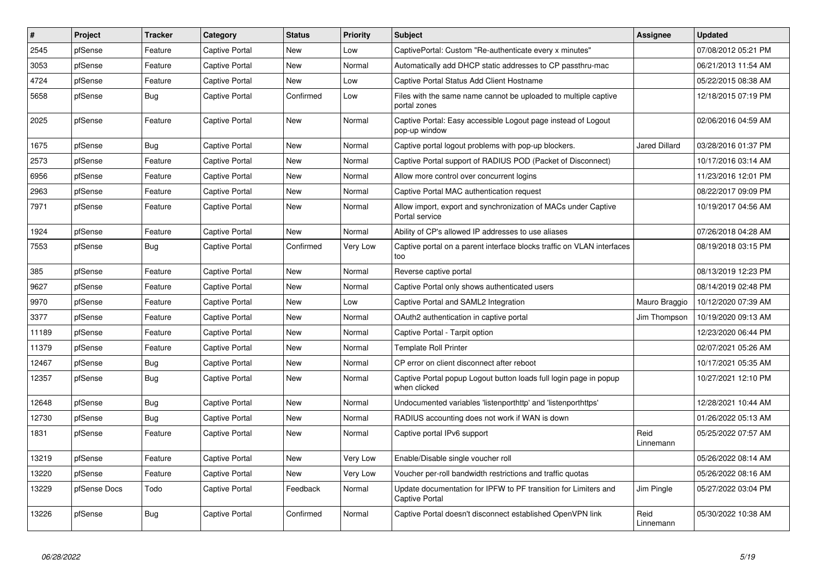| $\vert$ # | Project      | <b>Tracker</b> | Category              | <b>Status</b> | <b>Priority</b> | <b>Subject</b>                                                                           | <b>Assignee</b>   | <b>Updated</b>      |
|-----------|--------------|----------------|-----------------------|---------------|-----------------|------------------------------------------------------------------------------------------|-------------------|---------------------|
| 2545      | pfSense      | Feature        | Captive Portal        | New           | Low             | CaptivePortal: Custom "Re-authenticate every x minutes"                                  |                   | 07/08/2012 05:21 PM |
| 3053      | pfSense      | Feature        | <b>Captive Portal</b> | <b>New</b>    | Normal          | Automatically add DHCP static addresses to CP passthru-mac                               |                   | 06/21/2013 11:54 AM |
| 4724      | pfSense      | Feature        | <b>Captive Portal</b> | <b>New</b>    | Low             | Captive Portal Status Add Client Hostname                                                |                   | 05/22/2015 08:38 AM |
| 5658      | pfSense      | <b>Bug</b>     | Captive Portal        | Confirmed     | Low             | Files with the same name cannot be uploaded to multiple captive<br>portal zones          |                   | 12/18/2015 07:19 PM |
| 2025      | pfSense      | Feature        | <b>Captive Portal</b> | <b>New</b>    | Normal          | Captive Portal: Easy accessible Logout page instead of Logout<br>pop-up window           |                   | 02/06/2016 04:59 AM |
| 1675      | pfSense      | Bug            | <b>Captive Portal</b> | New           | Normal          | Captive portal logout problems with pop-up blockers.                                     | Jared Dillard     | 03/28/2016 01:37 PM |
| 2573      | pfSense      | Feature        | Captive Portal        | New           | Normal          | Captive Portal support of RADIUS POD (Packet of Disconnect)                              |                   | 10/17/2016 03:14 AM |
| 6956      | pfSense      | Feature        | Captive Portal        | New           | Normal          | Allow more control over concurrent logins                                                |                   | 11/23/2016 12:01 PM |
| 2963      | pfSense      | Feature        | <b>Captive Portal</b> | New           | Normal          | Captive Portal MAC authentication request                                                |                   | 08/22/2017 09:09 PM |
| 7971      | pfSense      | Feature        | Captive Portal        | New           | Normal          | Allow import, export and synchronization of MACs under Captive<br>Portal service         |                   | 10/19/2017 04:56 AM |
| 1924      | pfSense      | Feature        | <b>Captive Portal</b> | New           | Normal          | Ability of CP's allowed IP addresses to use aliases                                      |                   | 07/26/2018 04:28 AM |
| 7553      | pfSense      | <b>Bug</b>     | Captive Portal        | Confirmed     | Very Low        | Captive portal on a parent interface blocks traffic on VLAN interfaces<br>too            |                   | 08/19/2018 03:15 PM |
| 385       | pfSense      | Feature        | <b>Captive Portal</b> | New           | Normal          | Reverse captive portal                                                                   |                   | 08/13/2019 12:23 PM |
| 9627      | pfSense      | Feature        | <b>Captive Portal</b> | New           | Normal          | Captive Portal only shows authenticated users                                            |                   | 08/14/2019 02:48 PM |
| 9970      | pfSense      | Feature        | Captive Portal        | New           | Low             | Captive Portal and SAML2 Integration                                                     | Mauro Braggio     | 10/12/2020 07:39 AM |
| 3377      | pfSense      | Feature        | Captive Portal        | New           | Normal          | OAuth2 authentication in captive portal                                                  | Jim Thompson      | 10/19/2020 09:13 AM |
| 11189     | pfSense      | Feature        | <b>Captive Portal</b> | New           | Normal          | Captive Portal - Tarpit option                                                           |                   | 12/23/2020 06:44 PM |
| 11379     | pfSense      | Feature        | Captive Portal        | New           | Normal          | <b>Template Roll Printer</b>                                                             |                   | 02/07/2021 05:26 AM |
| 12467     | pfSense      | <b>Bug</b>     | Captive Portal        | New           | Normal          | CP error on client disconnect after reboot                                               |                   | 10/17/2021 05:35 AM |
| 12357     | pfSense      | Bug            | <b>Captive Portal</b> | New           | Normal          | Captive Portal popup Logout button loads full login page in popup<br>when clicked        |                   | 10/27/2021 12:10 PM |
| 12648     | pfSense      | Bug            | Captive Portal        | <b>New</b>    | Normal          | Undocumented variables 'listenporthttp' and 'listenporthttps'                            |                   | 12/28/2021 10:44 AM |
| 12730     | pfSense      | Bug            | <b>Captive Portal</b> | <b>New</b>    | Normal          | RADIUS accounting does not work if WAN is down                                           |                   | 01/26/2022 05:13 AM |
| 1831      | pfSense      | Feature        | Captive Portal        | New           | Normal          | Captive portal IPv6 support                                                              | Reid<br>Linnemann | 05/25/2022 07:57 AM |
| 13219     | pfSense      | Feature        | Captive Portal        | <b>New</b>    | Very Low        | Enable/Disable single voucher roll                                                       |                   | 05/26/2022 08:14 AM |
| 13220     | pfSense      | Feature        | <b>Captive Portal</b> | <b>New</b>    | Very Low        | Voucher per-roll bandwidth restrictions and traffic quotas                               |                   | 05/26/2022 08:16 AM |
| 13229     | pfSense Docs | Todo           | Captive Portal        | Feedback      | Normal          | Update documentation for IPFW to PF transition for Limiters and<br><b>Captive Portal</b> | Jim Pingle        | 05/27/2022 03:04 PM |
| 13226     | pfSense      | Bug            | <b>Captive Portal</b> | Confirmed     | Normal          | Captive Portal doesn't disconnect established OpenVPN link                               | Reid<br>Linnemann | 05/30/2022 10:38 AM |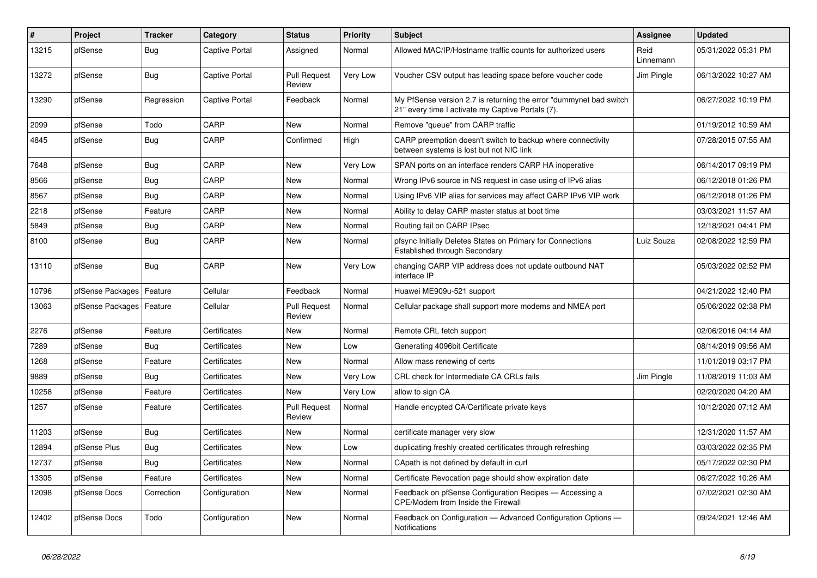| #     | Project          | <b>Tracker</b> | Category       | <b>Status</b>                 | <b>Priority</b> | <b>Subject</b>                                                                                                          | Assignee          | <b>Updated</b>      |
|-------|------------------|----------------|----------------|-------------------------------|-----------------|-------------------------------------------------------------------------------------------------------------------------|-------------------|---------------------|
| 13215 | pfSense          | Bug            | Captive Portal | Assigned                      | Normal          | Allowed MAC/IP/Hostname traffic counts for authorized users                                                             | Reid<br>Linnemann | 05/31/2022 05:31 PM |
| 13272 | pfSense          | Bug            | Captive Portal | <b>Pull Request</b><br>Review | Very Low        | Voucher CSV output has leading space before voucher code                                                                | Jim Pingle        | 06/13/2022 10:27 AM |
| 13290 | pfSense          | Regression     | Captive Portal | Feedback                      | Normal          | My PfSense version 2.7 is returning the error "dummynet bad switch<br>21" every time I activate my Captive Portals (7). |                   | 06/27/2022 10:19 PM |
| 2099  | pfSense          | Todo           | CARP           | New                           | Normal          | Remove "queue" from CARP traffic                                                                                        |                   | 01/19/2012 10:59 AM |
| 4845  | pfSense          | <b>Bug</b>     | CARP           | Confirmed                     | High            | CARP preemption doesn't switch to backup where connectivity<br>between systems is lost but not NIC link                 |                   | 07/28/2015 07:55 AM |
| 7648  | pfSense          | Bug            | CARP           | <b>New</b>                    | Very Low        | SPAN ports on an interface renders CARP HA inoperative                                                                  |                   | 06/14/2017 09:19 PM |
| 8566  | pfSense          | Bug            | CARP           | New                           | Normal          | Wrong IPv6 source in NS request in case using of IPv6 alias                                                             |                   | 06/12/2018 01:26 PM |
| 8567  | pfSense          | <b>Bug</b>     | CARP           | <b>New</b>                    | Normal          | Using IPv6 VIP alias for services may affect CARP IPv6 VIP work                                                         |                   | 06/12/2018 01:26 PM |
| 2218  | pfSense          | Feature        | CARP           | <b>New</b>                    | Normal          | Ability to delay CARP master status at boot time                                                                        |                   | 03/03/2021 11:57 AM |
| 5849  | pfSense          | <b>Bug</b>     | CARP           | <b>New</b>                    | Normal          | Routing fail on CARP IPsec                                                                                              |                   | 12/18/2021 04:41 PM |
| 8100  | pfSense          | <b>Bug</b>     | CARP           | <b>New</b>                    | Normal          | pfsync Initially Deletes States on Primary for Connections<br>Established through Secondary                             | Luiz Souza        | 02/08/2022 12:59 PM |
| 13110 | pfSense          | <b>Bug</b>     | CARP           | <b>New</b>                    | Very Low        | changing CARP VIP address does not update outbound NAT<br>interface IP                                                  |                   | 05/03/2022 02:52 PM |
| 10796 | pfSense Packages | Feature        | Cellular       | Feedback                      | Normal          | Huawei ME909u-521 support                                                                                               |                   | 04/21/2022 12:40 PM |
| 13063 | pfSense Packages | Feature        | Cellular       | <b>Pull Request</b><br>Review | Normal          | Cellular package shall support more modems and NMEA port                                                                |                   | 05/06/2022 02:38 PM |
| 2276  | pfSense          | Feature        | Certificates   | New                           | Normal          | Remote CRL fetch support                                                                                                |                   | 02/06/2016 04:14 AM |
| 7289  | pfSense          | Bug            | Certificates   | <b>New</b>                    | Low             | Generating 4096bit Certificate                                                                                          |                   | 08/14/2019 09:56 AM |
| 1268  | pfSense          | Feature        | Certificates   | <b>New</b>                    | Normal          | Allow mass renewing of certs                                                                                            |                   | 11/01/2019 03:17 PM |
| 9889  | pfSense          | Bug            | Certificates   | <b>New</b>                    | Very Low        | CRL check for Intermediate CA CRLs fails                                                                                | Jim Pingle        | 11/08/2019 11:03 AM |
| 10258 | pfSense          | Feature        | Certificates   | <b>New</b>                    | Very Low        | allow to sign CA                                                                                                        |                   | 02/20/2020 04:20 AM |
| 1257  | pfSense          | Feature        | Certificates   | <b>Pull Request</b><br>Review | Normal          | Handle encypted CA/Certificate private keys                                                                             |                   | 10/12/2020 07:12 AM |
| 11203 | pfSense          | <b>Bug</b>     | Certificates   | <b>New</b>                    | Normal          | certificate manager very slow                                                                                           |                   | 12/31/2020 11:57 AM |
| 12894 | pfSense Plus     | Bug            | Certificates   | <b>New</b>                    | Low             | duplicating freshly created certificates through refreshing                                                             |                   | 03/03/2022 02:35 PM |
| 12737 | pfSense          | <b>Bug</b>     | Certificates   | <b>New</b>                    | Normal          | CApath is not defined by default in curl                                                                                |                   | 05/17/2022 02:30 PM |
| 13305 | pfSense          | Feature        | Certificates   | New                           | Normal          | Certificate Revocation page should show expiration date                                                                 |                   | 06/27/2022 10:26 AM |
| 12098 | pfSense Docs     | Correction     | Configuration  | New                           | Normal          | Feedback on pfSense Configuration Recipes - Accessing a<br>CPE/Modem from Inside the Firewall                           |                   | 07/02/2021 02:30 AM |
| 12402 | pfSense Docs     | Todo           | Configuration  | <b>New</b>                    | Normal          | Feedback on Configuration - Advanced Configuration Options -<br>Notifications                                           |                   | 09/24/2021 12:46 AM |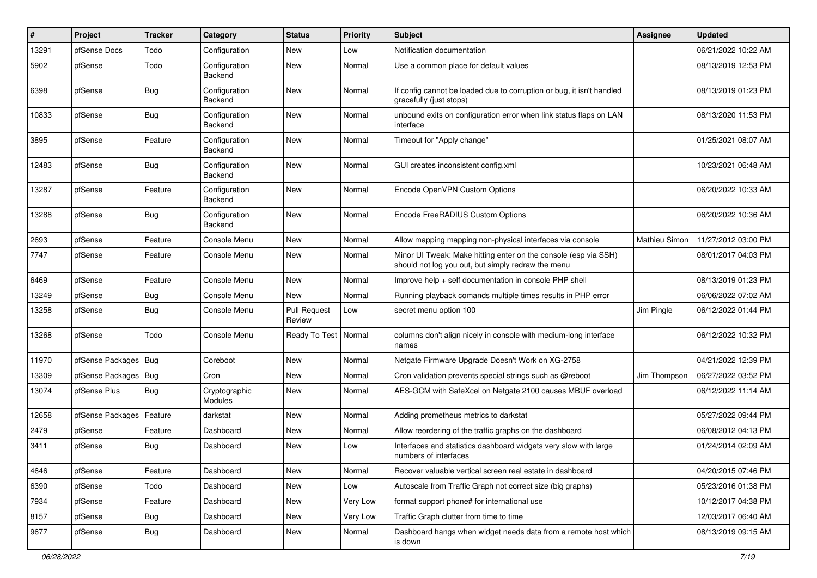| $\vert$ # | Project                    | <b>Tracker</b> | Category                 | <b>Status</b>                 | <b>Priority</b> | Subject                                                                                                               | Assignee      | <b>Updated</b>      |
|-----------|----------------------------|----------------|--------------------------|-------------------------------|-----------------|-----------------------------------------------------------------------------------------------------------------------|---------------|---------------------|
| 13291     | pfSense Docs               | Todo           | Configuration            | New                           | Low             | Notification documentation                                                                                            |               | 06/21/2022 10:22 AM |
| 5902      | pfSense                    | Todo           | Configuration<br>Backend | New                           | Normal          | Use a common place for default values                                                                                 |               | 08/13/2019 12:53 PM |
| 6398      | pfSense                    | Bug            | Configuration<br>Backend | <b>New</b>                    | Normal          | If config cannot be loaded due to corruption or bug, it isn't handled<br>gracefully (just stops)                      |               | 08/13/2019 01:23 PM |
| 10833     | pfSense                    | Bug            | Configuration<br>Backend | <b>New</b>                    | Normal          | unbound exits on configuration error when link status flaps on LAN<br>interface                                       |               | 08/13/2020 11:53 PM |
| 3895      | pfSense                    | Feature        | Configuration<br>Backend | <b>New</b>                    | Normal          | Timeout for "Apply change"                                                                                            |               | 01/25/2021 08:07 AM |
| 12483     | pfSense                    | Bug            | Configuration<br>Backend | <b>New</b>                    | Normal          | GUI creates inconsistent config.xml                                                                                   |               | 10/23/2021 06:48 AM |
| 13287     | pfSense                    | Feature        | Configuration<br>Backend | <b>New</b>                    | Normal          | Encode OpenVPN Custom Options                                                                                         |               | 06/20/2022 10:33 AM |
| 13288     | pfSense                    | Bug            | Configuration<br>Backend | <b>New</b>                    | Normal          | Encode FreeRADIUS Custom Options                                                                                      |               | 06/20/2022 10:36 AM |
| 2693      | pfSense                    | Feature        | Console Menu             | <b>New</b>                    | Normal          | Allow mapping mapping non-physical interfaces via console                                                             | Mathieu Simon | 11/27/2012 03:00 PM |
| 7747      | pfSense                    | Feature        | Console Menu             | New                           | Normal          | Minor UI Tweak: Make hitting enter on the console (esp via SSH)<br>should not log you out, but simply redraw the menu |               | 08/01/2017 04:03 PM |
| 6469      | pfSense                    | Feature        | Console Menu             | <b>New</b>                    | Normal          | Improve help + self documentation in console PHP shell                                                                |               | 08/13/2019 01:23 PM |
| 13249     | pfSense                    | Bug            | Console Menu             | <b>New</b>                    | Normal          | Running playback comands multiple times results in PHP error                                                          |               | 06/06/2022 07:02 AM |
| 13258     | pfSense                    | Bug            | Console Menu             | <b>Pull Request</b><br>Review | Low             | secret menu option 100                                                                                                | Jim Pingle    | 06/12/2022 01:44 PM |
| 13268     | pfSense                    | Todo           | Console Menu             | Ready To Test                 | Normal          | columns don't align nicely in console with medium-long interface<br>names                                             |               | 06/12/2022 10:32 PM |
| 11970     | pfSense Packages   Bug     |                | Coreboot                 | New                           | Normal          | Netgate Firmware Upgrade Doesn't Work on XG-2758                                                                      |               | 04/21/2022 12:39 PM |
| 13309     | pfSense Packages           | Bug            | Cron                     | <b>New</b>                    | Normal          | Cron validation prevents special strings such as @reboot                                                              | Jim Thompson  | 06/27/2022 03:52 PM |
| 13074     | pfSense Plus               | Bug            | Cryptographic<br>Modules | <b>New</b>                    | Normal          | AES-GCM with SafeXcel on Netgate 2100 causes MBUF overload                                                            |               | 06/12/2022 11:14 AM |
| 12658     | pfSense Packages   Feature |                | darkstat                 | <b>New</b>                    | Normal          | Adding prometheus metrics to darkstat                                                                                 |               | 05/27/2022 09:44 PM |
| 2479      | pfSense                    | Feature        | Dashboard                | <b>New</b>                    | Normal          | Allow reordering of the traffic graphs on the dashboard                                                               |               | 06/08/2012 04:13 PM |
| 3411      | pfSense                    | Bug            | Dashboard                | <b>New</b>                    | Low             | Interfaces and statistics dashboard widgets very slow with large<br>numbers of interfaces                             |               | 01/24/2014 02:09 AM |
| 4646      | pfSense                    | Feature        | Dashboard                | New                           | Normal          | Recover valuable vertical screen real estate in dashboard                                                             |               | 04/20/2015 07:46 PM |
| 6390      | pfSense                    | Todo           | Dashboard                | New                           | Low             | Autoscale from Traffic Graph not correct size (big graphs)                                                            |               | 05/23/2016 01:38 PM |
| 7934      | pfSense                    | Feature        | Dashboard                | New                           | Very Low        | format support phone# for international use                                                                           |               | 10/12/2017 04:38 PM |
| 8157      | pfSense                    | <b>Bug</b>     | Dashboard                | New                           | Very Low        | Traffic Graph clutter from time to time                                                                               |               | 12/03/2017 06:40 AM |
| 9677      | pfSense                    | Bug            | Dashboard                | New                           | Normal          | Dashboard hangs when widget needs data from a remote host which<br>is down                                            |               | 08/13/2019 09:15 AM |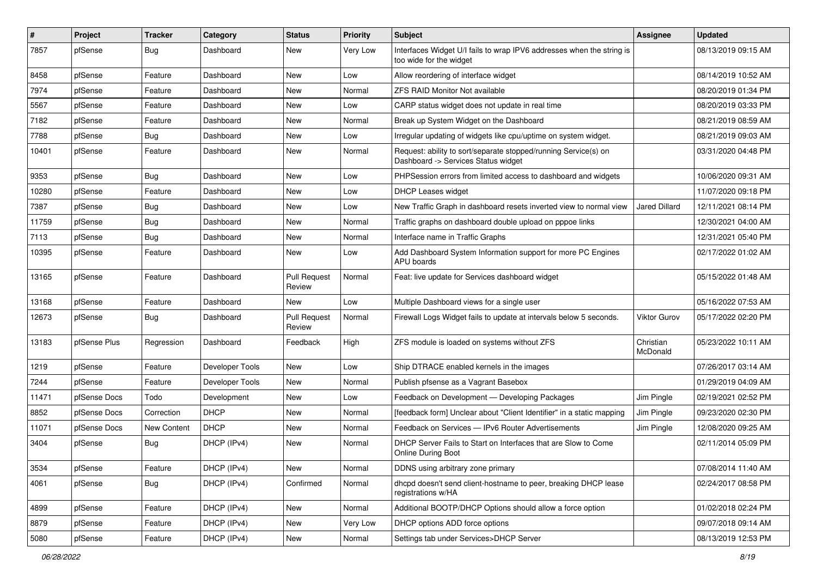| $\pmb{\#}$ | Project      | <b>Tracker</b> | Category        | <b>Status</b>                 | <b>Priority</b> | <b>Subject</b>                                                                                         | Assignee              | <b>Updated</b>      |
|------------|--------------|----------------|-----------------|-------------------------------|-----------------|--------------------------------------------------------------------------------------------------------|-----------------------|---------------------|
| 7857       | pfSense      | Bug            | Dashboard       | New                           | Very Low        | Interfaces Widget U/I fails to wrap IPV6 addresses when the string is<br>too wide for the widget       |                       | 08/13/2019 09:15 AM |
| 8458       | pfSense      | Feature        | Dashboard       | New                           | Low             | Allow reordering of interface widget                                                                   |                       | 08/14/2019 10:52 AM |
| 7974       | pfSense      | Feature        | Dashboard       | New                           | Normal          | ZFS RAID Monitor Not available                                                                         |                       | 08/20/2019 01:34 PM |
| 5567       | pfSense      | Feature        | Dashboard       | <b>New</b>                    | Low             | CARP status widget does not update in real time                                                        |                       | 08/20/2019 03:33 PM |
| 7182       | pfSense      | Feature        | Dashboard       | New                           | Normal          | Break up System Widget on the Dashboard                                                                |                       | 08/21/2019 08:59 AM |
| 7788       | pfSense      | Bug            | Dashboard       | <b>New</b>                    | Low             | Irregular updating of widgets like cpu/uptime on system widget.                                        |                       | 08/21/2019 09:03 AM |
| 10401      | pfSense      | Feature        | Dashboard       | New                           | Normal          | Request: ability to sort/separate stopped/running Service(s) on<br>Dashboard -> Services Status widget |                       | 03/31/2020 04:48 PM |
| 9353       | pfSense      | Bug            | Dashboard       | <b>New</b>                    | Low             | PHPSession errors from limited access to dashboard and widgets                                         |                       | 10/06/2020 09:31 AM |
| 10280      | pfSense      | Feature        | Dashboard       | <b>New</b>                    | Low             | <b>DHCP Leases widget</b>                                                                              |                       | 11/07/2020 09:18 PM |
| 7387       | pfSense      | Bug            | Dashboard       | <b>New</b>                    | Low             | New Traffic Graph in dashboard resets inverted view to normal view                                     | <b>Jared Dillard</b>  | 12/11/2021 08:14 PM |
| 11759      | pfSense      | Bug            | Dashboard       | <b>New</b>                    | Normal          | Traffic graphs on dashboard double upload on pppoe links                                               |                       | 12/30/2021 04:00 AM |
| 7113       | pfSense      | Bug            | Dashboard       | <b>New</b>                    | Normal          | Interface name in Traffic Graphs                                                                       |                       | 12/31/2021 05:40 PM |
| 10395      | pfSense      | Feature        | Dashboard       | <b>New</b>                    | Low             | Add Dashboard System Information support for more PC Engines<br>APU boards                             |                       | 02/17/2022 01:02 AM |
| 13165      | pfSense      | Feature        | Dashboard       | <b>Pull Request</b><br>Review | Normal          | Feat: live update for Services dashboard widget                                                        |                       | 05/15/2022 01:48 AM |
| 13168      | pfSense      | Feature        | Dashboard       | New                           | Low             | Multiple Dashboard views for a single user                                                             |                       | 05/16/2022 07:53 AM |
| 12673      | pfSense      | Bug            | Dashboard       | <b>Pull Request</b><br>Review | Normal          | Firewall Logs Widget fails to update at intervals below 5 seconds.                                     | Viktor Gurov          | 05/17/2022 02:20 PM |
| 13183      | pfSense Plus | Regression     | Dashboard       | Feedback                      | High            | ZFS module is loaded on systems without ZFS                                                            | Christian<br>McDonald | 05/23/2022 10:11 AM |
| 1219       | pfSense      | Feature        | Developer Tools | <b>New</b>                    | Low             | Ship DTRACE enabled kernels in the images                                                              |                       | 07/26/2017 03:14 AM |
| 7244       | pfSense      | Feature        | Developer Tools | <b>New</b>                    | Normal          | Publish pfsense as a Vagrant Basebox                                                                   |                       | 01/29/2019 04:09 AM |
| 11471      | pfSense Docs | Todo           | Development     | <b>New</b>                    | Low             | Feedback on Development - Developing Packages                                                          | Jim Pingle            | 02/19/2021 02:52 PM |
| 8852       | pfSense Docs | Correction     | <b>DHCP</b>     | New                           | Normal          | [feedback form] Unclear about "Client Identifier" in a static mapping                                  | Jim Pingle            | 09/23/2020 02:30 PM |
| 11071      | pfSense Docs | New Content    | <b>DHCP</b>     | New                           | Normal          | Feedback on Services - IPv6 Router Advertisements                                                      | Jim Pingle            | 12/08/2020 09:25 AM |
| 3404       | pfSense      | Bug            | DHCP (IPv4)     | New                           | Normal          | DHCP Server Fails to Start on Interfaces that are Slow to Come<br><b>Online During Boot</b>            |                       | 02/11/2014 05:09 PM |
| 3534       | pfSense      | Feature        | DHCP (IPv4)     | New                           | Normal          | DDNS using arbitrary zone primary                                                                      |                       | 07/08/2014 11:40 AM |
| 4061       | pfSense      | <b>Bug</b>     | DHCP (IPv4)     | Confirmed                     | Normal          | dhcpd doesn't send client-hostname to peer, breaking DHCP lease<br>registrations w/HA                  |                       | 02/24/2017 08:58 PM |
| 4899       | pfSense      | Feature        | DHCP (IPv4)     | New                           | Normal          | Additional BOOTP/DHCP Options should allow a force option                                              |                       | 01/02/2018 02:24 PM |
| 8879       | pfSense      | Feature        | DHCP (IPv4)     | New                           | Very Low        | DHCP options ADD force options                                                                         |                       | 09/07/2018 09:14 AM |
| 5080       | pfSense      | Feature        | DHCP (IPv4)     | New                           | Normal          | Settings tab under Services>DHCP Server                                                                |                       | 08/13/2019 12:53 PM |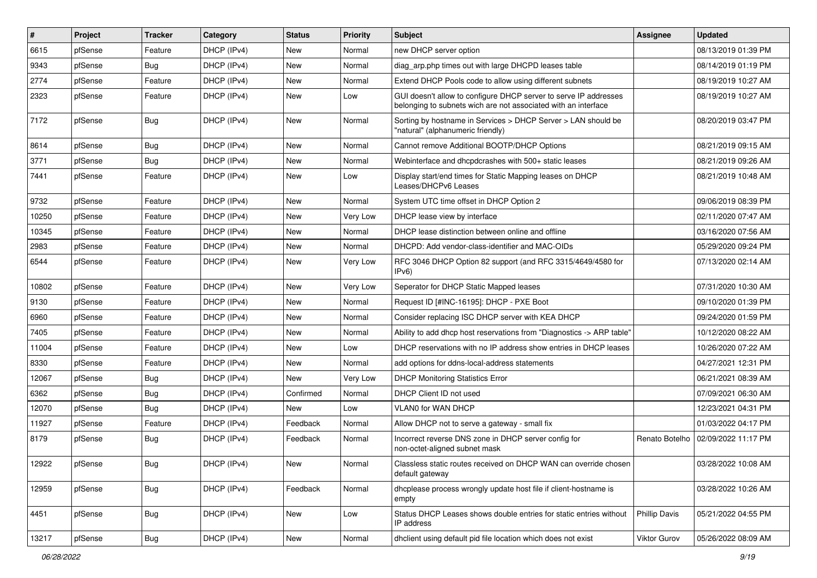| $\pmb{\#}$ | Project | <b>Tracker</b> | Category    | <b>Status</b> | Priority | <b>Subject</b>                                                                                                                     | <b>Assignee</b>      | <b>Updated</b>      |
|------------|---------|----------------|-------------|---------------|----------|------------------------------------------------------------------------------------------------------------------------------------|----------------------|---------------------|
| 6615       | pfSense | Feature        | DHCP (IPv4) | New           | Normal   | new DHCP server option                                                                                                             |                      | 08/13/2019 01:39 PM |
| 9343       | pfSense | Bug            | DHCP (IPv4) | <b>New</b>    | Normal   | diag_arp.php times out with large DHCPD leases table                                                                               |                      | 08/14/2019 01:19 PM |
| 2774       | pfSense | Feature        | DHCP (IPv4) | New           | Normal   | Extend DHCP Pools code to allow using different subnets                                                                            |                      | 08/19/2019 10:27 AM |
| 2323       | pfSense | Feature        | DHCP (IPv4) | New           | Low      | GUI doesn't allow to configure DHCP server to serve IP addresses<br>belonging to subnets wich are not associated with an interface |                      | 08/19/2019 10:27 AM |
| 7172       | pfSense | Bug            | DHCP (IPv4) | <b>New</b>    | Normal   | Sorting by hostname in Services > DHCP Server > LAN should be<br>"natural" (alphanumeric friendly)                                 |                      | 08/20/2019 03:47 PM |
| 8614       | pfSense | <b>Bug</b>     | DHCP (IPv4) | <b>New</b>    | Normal   | Cannot remove Additional BOOTP/DHCP Options                                                                                        |                      | 08/21/2019 09:15 AM |
| 3771       | pfSense | Bug            | DHCP (IPv4) | New           | Normal   | Webinterface and dhcpdcrashes with 500+ static leases                                                                              |                      | 08/21/2019 09:26 AM |
| 7441       | pfSense | Feature        | DHCP (IPv4) | New           | Low      | Display start/end times for Static Mapping leases on DHCP<br>Leases/DHCPv6 Leases                                                  |                      | 08/21/2019 10:48 AM |
| 9732       | pfSense | Feature        | DHCP (IPv4) | <b>New</b>    | Normal   | System UTC time offset in DHCP Option 2                                                                                            |                      | 09/06/2019 08:39 PM |
| 10250      | pfSense | Feature        | DHCP (IPv4) | <b>New</b>    | Very Low | DHCP lease view by interface                                                                                                       |                      | 02/11/2020 07:47 AM |
| 10345      | pfSense | Feature        | DHCP (IPv4) | New           | Normal   | DHCP lease distinction between online and offline                                                                                  |                      | 03/16/2020 07:56 AM |
| 2983       | pfSense | Feature        | DHCP (IPv4) | <b>New</b>    | Normal   | DHCPD: Add vendor-class-identifier and MAC-OIDs                                                                                    |                      | 05/29/2020 09:24 PM |
| 6544       | pfSense | Feature        | DHCP (IPv4) | New           | Very Low | RFC 3046 DHCP Option 82 support (and RFC 3315/4649/4580 for<br>IPv6                                                                |                      | 07/13/2020 02:14 AM |
| 10802      | pfSense | Feature        | DHCP (IPv4) | <b>New</b>    | Very Low | Seperator for DHCP Static Mapped leases                                                                                            |                      | 07/31/2020 10:30 AM |
| 9130       | pfSense | Feature        | DHCP (IPv4) | New           | Normal   | Request ID [#INC-16195]: DHCP - PXE Boot                                                                                           |                      | 09/10/2020 01:39 PM |
| 6960       | pfSense | Feature        | DHCP (IPv4) | New           | Normal   | Consider replacing ISC DHCP server with KEA DHCP                                                                                   |                      | 09/24/2020 01:59 PM |
| 7405       | pfSense | Feature        | DHCP (IPv4) | <b>New</b>    | Normal   | Ability to add dhcp host reservations from "Diagnostics -> ARP table"                                                              |                      | 10/12/2020 08:22 AM |
| 11004      | pfSense | Feature        | DHCP (IPv4) | New           | Low      | DHCP reservations with no IP address show entries in DHCP leases                                                                   |                      | 10/26/2020 07:22 AM |
| 8330       | pfSense | Feature        | DHCP (IPv4) | <b>New</b>    | Normal   | add options for ddns-local-address statements                                                                                      |                      | 04/27/2021 12:31 PM |
| 12067      | pfSense | <b>Bug</b>     | DHCP (IPv4) | New           | Very Low | <b>DHCP Monitoring Statistics Error</b>                                                                                            |                      | 06/21/2021 08:39 AM |
| 6362       | pfSense | Bug            | DHCP (IPv4) | Confirmed     | Normal   | DHCP Client ID not used                                                                                                            |                      | 07/09/2021 06:30 AM |
| 12070      | pfSense | Bug            | DHCP (IPv4) | <b>New</b>    | Low      | VLAN0 for WAN DHCP                                                                                                                 |                      | 12/23/2021 04:31 PM |
| 11927      | pfSense | Feature        | DHCP (IPv4) | Feedback      | Normal   | Allow DHCP not to serve a gateway - small fix                                                                                      |                      | 01/03/2022 04:17 PM |
| 8179       | pfSense | Bug            | DHCP (IPv4) | Feedback      | Normal   | Incorrect reverse DNS zone in DHCP server config for<br>non-octet-aligned subnet mask                                              | Renato Botelho       | 02/09/2022 11:17 PM |
| 12922      | pfSense | <b>Bug</b>     | DHCP (IPv4) | New           | Normal   | Classless static routes received on DHCP WAN can override chosen<br>default gateway                                                |                      | 03/28/2022 10:08 AM |
| 12959      | pfSense | <b>Bug</b>     | DHCP (IPv4) | Feedback      | Normal   | dhcplease process wrongly update host file if client-hostname is<br>empty                                                          |                      | 03/28/2022 10:26 AM |
| 4451       | pfSense | Bug            | DHCP (IPv4) | New           | Low      | Status DHCP Leases shows double entries for static entries without<br>IP address                                                   | <b>Phillip Davis</b> | 05/21/2022 04:55 PM |
| 13217      | pfSense | Bug            | DHCP (IPv4) | New           | Normal   | dhclient using default pid file location which does not exist                                                                      | Viktor Gurov         | 05/26/2022 08:09 AM |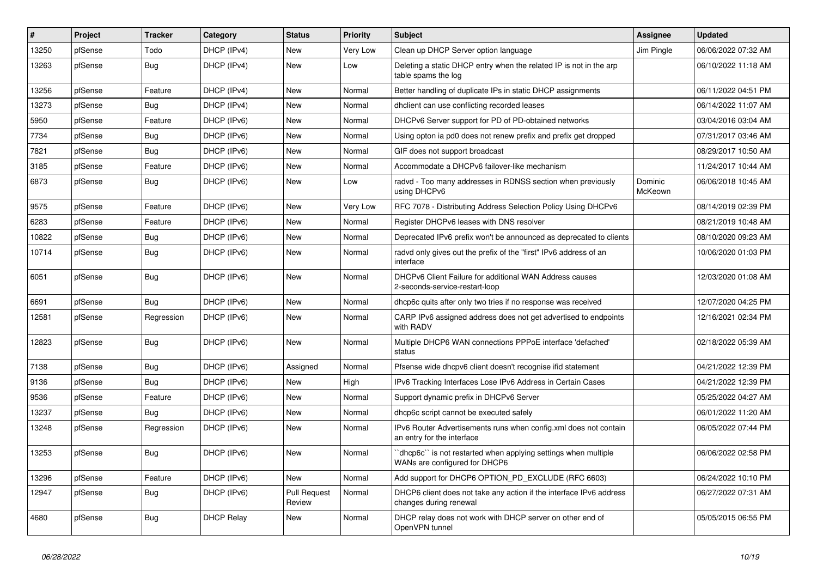| $\vert$ # | Project | <b>Tracker</b> | Category          | <b>Status</b>                 | <b>Priority</b> | <b>Subject</b>                                                                                 | Assignee           | <b>Updated</b>      |
|-----------|---------|----------------|-------------------|-------------------------------|-----------------|------------------------------------------------------------------------------------------------|--------------------|---------------------|
| 13250     | pfSense | Todo           | DHCP (IPv4)       | New                           | Very Low        | Clean up DHCP Server option language                                                           | Jim Pingle         | 06/06/2022 07:32 AM |
| 13263     | pfSense | Bug            | DHCP (IPv4)       | New                           | Low             | Deleting a static DHCP entry when the related IP is not in the arp<br>table spams the log      |                    | 06/10/2022 11:18 AM |
| 13256     | pfSense | Feature        | DHCP (IPv4)       | <b>New</b>                    | Normal          | Better handling of duplicate IPs in static DHCP assignments                                    |                    | 06/11/2022 04:51 PM |
| 13273     | pfSense | Bug            | DHCP (IPv4)       | New                           | Normal          | dholient can use conflicting recorded leases                                                   |                    | 06/14/2022 11:07 AM |
| 5950      | pfSense | Feature        | DHCP (IPv6)       | <b>New</b>                    | Normal          | DHCPv6 Server support for PD of PD-obtained networks                                           |                    | 03/04/2016 03:04 AM |
| 7734      | pfSense | Bug            | DHCP (IPv6)       | New                           | Normal          | Using opton ia pd0 does not renew prefix and prefix get dropped                                |                    | 07/31/2017 03:46 AM |
| 7821      | pfSense | Bug            | DHCP (IPv6)       | New                           | Normal          | GIF does not support broadcast                                                                 |                    | 08/29/2017 10:50 AM |
| 3185      | pfSense | Feature        | DHCP (IPv6)       | New                           | Normal          | Accommodate a DHCPv6 failover-like mechanism                                                   |                    | 11/24/2017 10:44 AM |
| 6873      | pfSense | Bug            | DHCP (IPv6)       | New                           | Low             | radvd - Too many addresses in RDNSS section when previously<br>using DHCPv6                    | Dominic<br>McKeown | 06/06/2018 10:45 AM |
| 9575      | pfSense | Feature        | DHCP (IPv6)       | New                           | Very Low        | RFC 7078 - Distributing Address Selection Policy Using DHCPv6                                  |                    | 08/14/2019 02:39 PM |
| 6283      | pfSense | Feature        | DHCP (IPv6)       | <b>New</b>                    | Normal          | Register DHCPv6 leases with DNS resolver                                                       |                    | 08/21/2019 10:48 AM |
| 10822     | pfSense | Bug            | DHCP (IPv6)       | <b>New</b>                    | Normal          | Deprecated IPv6 prefix won't be announced as deprecated to clients                             |                    | 08/10/2020 09:23 AM |
| 10714     | pfSense | <b>Bug</b>     | DHCP (IPv6)       | New                           | Normal          | radvd only gives out the prefix of the "first" IPv6 address of an<br>interface                 |                    | 10/06/2020 01:03 PM |
| 6051      | pfSense | <b>Bug</b>     | DHCP (IPv6)       | New                           | Normal          | DHCPv6 Client Failure for additional WAN Address causes<br>2-seconds-service-restart-loop      |                    | 12/03/2020 01:08 AM |
| 6691      | pfSense | <b>Bug</b>     | DHCP (IPv6)       | <b>New</b>                    | Normal          | dhcp6c quits after only two tries if no response was received                                  |                    | 12/07/2020 04:25 PM |
| 12581     | pfSense | Regression     | DHCP (IPv6)       | New                           | Normal          | CARP IPv6 assigned address does not get advertised to endpoints<br>with RADV                   |                    | 12/16/2021 02:34 PM |
| 12823     | pfSense | <b>Bug</b>     | DHCP (IPv6)       | <b>New</b>                    | Normal          | Multiple DHCP6 WAN connections PPPoE interface 'defached'<br>status                            |                    | 02/18/2022 05:39 AM |
| 7138      | pfSense | Bug            | DHCP (IPv6)       | Assigned                      | Normal          | Pfsense wide dhcpv6 client doesn't recognise if id statement                                   |                    | 04/21/2022 12:39 PM |
| 9136      | pfSense | Bug            | DHCP (IPv6)       | New                           | High            | IPv6 Tracking Interfaces Lose IPv6 Address in Certain Cases                                    |                    | 04/21/2022 12:39 PM |
| 9536      | pfSense | Feature        | DHCP (IPv6)       | New                           | Normal          | Support dynamic prefix in DHCPv6 Server                                                        |                    | 05/25/2022 04:27 AM |
| 13237     | pfSense | Bug            | DHCP (IPv6)       | New                           | Normal          | dhcp6c script cannot be executed safely                                                        |                    | 06/01/2022 11:20 AM |
| 13248     | pfSense | Regression     | DHCP (IPv6)       | New                           | Normal          | IPv6 Router Advertisements runs when config.xml does not contain<br>an entry for the interface |                    | 06/05/2022 07:44 PM |
| 13253     | pfSense | Bug            | DHCP (IPv6)       | New                           | Normal          | dhcp6c" is not restarted when applying settings when multiple<br>WANs are configured for DHCP6 |                    | 06/06/2022 02:58 PM |
| 13296     | pfSense | Feature        | DHCP (IPv6)       | New                           | Normal          | Add support for DHCP6 OPTION_PD_EXCLUDE (RFC 6603)                                             |                    | 06/24/2022 10:10 PM |
| 12947     | pfSense | Bug            | DHCP (IPv6)       | <b>Pull Request</b><br>Review | Normal          | DHCP6 client does not take any action if the interface IPv6 address<br>changes during renewal  |                    | 06/27/2022 07:31 AM |
| 4680      | pfSense | <b>Bug</b>     | <b>DHCP Relay</b> | New                           | Normal          | DHCP relay does not work with DHCP server on other end of<br>OpenVPN tunnel                    |                    | 05/05/2015 06:55 PM |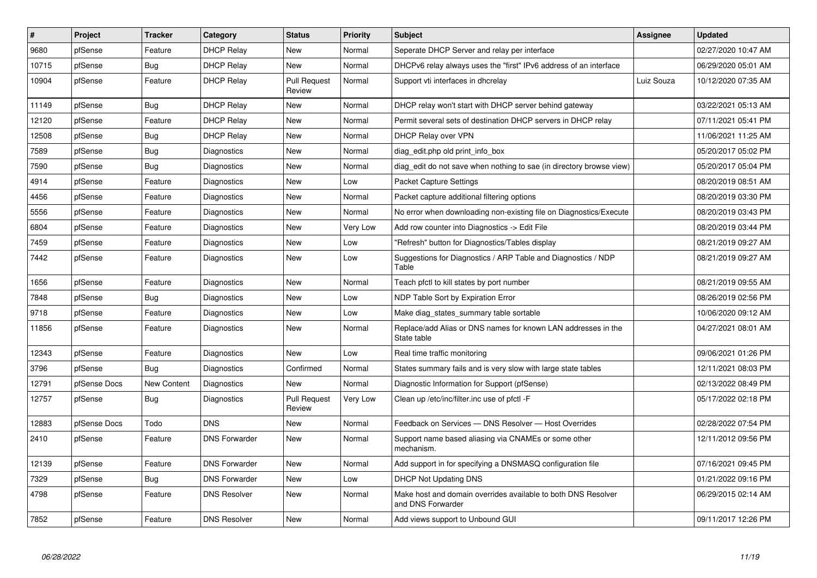| $\pmb{\#}$ | Project      | <b>Tracker</b> | Category             | <b>Status</b>                 | <b>Priority</b> | <b>Subject</b>                                                                     | Assignee   | <b>Updated</b>      |
|------------|--------------|----------------|----------------------|-------------------------------|-----------------|------------------------------------------------------------------------------------|------------|---------------------|
| 9680       | pfSense      | Feature        | <b>DHCP Relay</b>    | <b>New</b>                    | Normal          | Seperate DHCP Server and relay per interface                                       |            | 02/27/2020 10:47 AM |
| 10715      | pfSense      | Bug            | <b>DHCP Relay</b>    | <b>New</b>                    | Normal          | DHCPv6 relay always uses the "first" IPv6 address of an interface                  |            | 06/29/2020 05:01 AM |
| 10904      | pfSense      | Feature        | <b>DHCP Relay</b>    | <b>Pull Request</b><br>Review | Normal          | Support vti interfaces in dhcrelay                                                 | Luiz Souza | 10/12/2020 07:35 AM |
| 11149      | pfSense      | Bug            | <b>DHCP Relay</b>    | <b>New</b>                    | Normal          | DHCP relay won't start with DHCP server behind gateway                             |            | 03/22/2021 05:13 AM |
| 12120      | pfSense      | Feature        | <b>DHCP Relay</b>    | <b>New</b>                    | Normal          | Permit several sets of destination DHCP servers in DHCP relay                      |            | 07/11/2021 05:41 PM |
| 12508      | pfSense      | <b>Bug</b>     | <b>DHCP Relay</b>    | New                           | Normal          | DHCP Relay over VPN                                                                |            | 11/06/2021 11:25 AM |
| 7589       | pfSense      | Bug            | <b>Diagnostics</b>   | New                           | Normal          | diag edit.php old print info box                                                   |            | 05/20/2017 05:02 PM |
| 7590       | pfSense      | Bug            | Diagnostics          | New                           | Normal          | diag edit do not save when nothing to sae (in directory browse view)               |            | 05/20/2017 05:04 PM |
| 4914       | pfSense      | Feature        | Diagnostics          | New                           | Low             | <b>Packet Capture Settings</b>                                                     |            | 08/20/2019 08:51 AM |
| 4456       | pfSense      | Feature        | Diagnostics          | New                           | Normal          | Packet capture additional filtering options                                        |            | 08/20/2019 03:30 PM |
| 5556       | pfSense      | Feature        | <b>Diagnostics</b>   | New                           | Normal          | No error when downloading non-existing file on Diagnostics/Execute                 |            | 08/20/2019 03:43 PM |
| 6804       | pfSense      | Feature        | Diagnostics          | <b>New</b>                    | Very Low        | Add row counter into Diagnostics -> Edit File                                      |            | 08/20/2019 03:44 PM |
| 7459       | pfSense      | Feature        | <b>Diagnostics</b>   | New                           | Low             | "Refresh" button for Diagnostics/Tables display                                    |            | 08/21/2019 09:27 AM |
| 7442       | pfSense      | Feature        | Diagnostics          | New                           | Low             | Suggestions for Diagnostics / ARP Table and Diagnostics / NDP<br>Table             |            | 08/21/2019 09:27 AM |
| 1656       | pfSense      | Feature        | <b>Diagnostics</b>   | <b>New</b>                    | Normal          | Teach pfctl to kill states by port number                                          |            | 08/21/2019 09:55 AM |
| 7848       | pfSense      | Bug            | Diagnostics          | <b>New</b>                    | Low             | NDP Table Sort by Expiration Error                                                 |            | 08/26/2019 02:56 PM |
| 9718       | pfSense      | Feature        | Diagnostics          | New                           | Low             | Make diag_states_summary table sortable                                            |            | 10/06/2020 09:12 AM |
| 11856      | pfSense      | Feature        | <b>Diagnostics</b>   | New                           | Normal          | Replace/add Alias or DNS names for known LAN addresses in the<br>State table       |            | 04/27/2021 08:01 AM |
| 12343      | pfSense      | Feature        | Diagnostics          | <b>New</b>                    | Low             | Real time traffic monitoring                                                       |            | 09/06/2021 01:26 PM |
| 3796       | pfSense      | <b>Bug</b>     | Diagnostics          | Confirmed                     | Normal          | States summary fails and is very slow with large state tables                      |            | 12/11/2021 08:03 PM |
| 12791      | pfSense Docs | New Content    | Diagnostics          | New                           | Normal          | Diagnostic Information for Support (pfSense)                                       |            | 02/13/2022 08:49 PM |
| 12757      | pfSense      | <b>Bug</b>     | <b>Diagnostics</b>   | <b>Pull Request</b><br>Review | Very Low        | Clean up /etc/inc/filter.inc use of pfctl -F                                       |            | 05/17/2022 02:18 PM |
| 12883      | pfSense Docs | Todo           | <b>DNS</b>           | New                           | Normal          | Feedback on Services - DNS Resolver - Host Overrides                               |            | 02/28/2022 07:54 PM |
| 2410       | pfSense      | Feature        | <b>DNS Forwarder</b> | New                           | Normal          | Support name based aliasing via CNAMEs or some other<br>mechanism.                 |            | 12/11/2012 09:56 PM |
| 12139      | pfSense      | Feature        | <b>DNS Forwarder</b> | New                           | Normal          | Add support in for specifying a DNSMASQ configuration file                         |            | 07/16/2021 09:45 PM |
| 7329       | pfSense      | Bug            | <b>DNS Forwarder</b> | New                           | Low             | <b>DHCP Not Updating DNS</b>                                                       |            | 01/21/2022 09:16 PM |
| 4798       | pfSense      | Feature        | <b>DNS Resolver</b>  | New                           | Normal          | Make host and domain overrides available to both DNS Resolver<br>and DNS Forwarder |            | 06/29/2015 02:14 AM |
| 7852       | pfSense      | Feature        | <b>DNS Resolver</b>  | New                           | Normal          | Add views support to Unbound GUI                                                   |            | 09/11/2017 12:26 PM |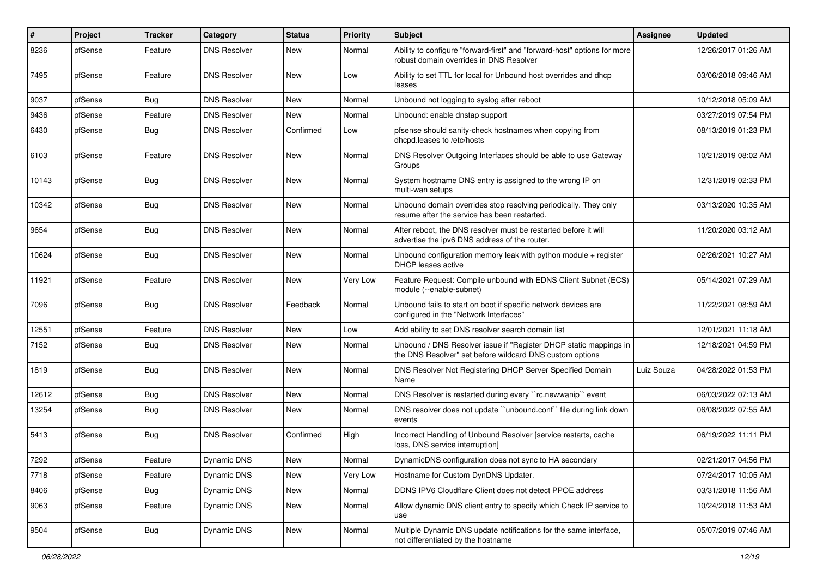| $\vert$ # | Project | Tracker    | Category            | <b>Status</b> | <b>Priority</b> | Subject                                                                                                                       | <b>Assignee</b> | <b>Updated</b>      |
|-----------|---------|------------|---------------------|---------------|-----------------|-------------------------------------------------------------------------------------------------------------------------------|-----------------|---------------------|
| 8236      | pfSense | Feature    | <b>DNS Resolver</b> | <b>New</b>    | Normal          | Ability to configure "forward-first" and "forward-host" options for more<br>robust domain overrides in DNS Resolver           |                 | 12/26/2017 01:26 AM |
| 7495      | pfSense | Feature    | <b>DNS Resolver</b> | <b>New</b>    | Low             | Ability to set TTL for local for Unbound host overrides and dhcp<br>leases                                                    |                 | 03/06/2018 09:46 AM |
| 9037      | pfSense | <b>Bug</b> | <b>DNS Resolver</b> | <b>New</b>    | Normal          | Unbound not logging to syslog after reboot                                                                                    |                 | 10/12/2018 05:09 AM |
| 9436      | pfSense | Feature    | <b>DNS Resolver</b> | <b>New</b>    | Normal          | Unbound: enable dnstap support                                                                                                |                 | 03/27/2019 07:54 PM |
| 6430      | pfSense | Bug        | <b>DNS Resolver</b> | Confirmed     | Low             | pfsense should sanity-check hostnames when copying from<br>dhcpd.leases to /etc/hosts                                         |                 | 08/13/2019 01:23 PM |
| 6103      | pfSense | Feature    | <b>DNS Resolver</b> | <b>New</b>    | Normal          | DNS Resolver Outgoing Interfaces should be able to use Gateway<br>Groups                                                      |                 | 10/21/2019 08:02 AM |
| 10143     | pfSense | <b>Bug</b> | <b>DNS Resolver</b> | New           | Normal          | System hostname DNS entry is assigned to the wrong IP on<br>multi-wan setups                                                  |                 | 12/31/2019 02:33 PM |
| 10342     | pfSense | <b>Bug</b> | <b>DNS Resolver</b> | New           | Normal          | Unbound domain overrides stop resolving periodically. They only<br>resume after the service has been restarted.               |                 | 03/13/2020 10:35 AM |
| 9654      | pfSense | Bug        | <b>DNS Resolver</b> | <b>New</b>    | Normal          | After reboot, the DNS resolver must be restarted before it will<br>advertise the ipv6 DNS address of the router.              |                 | 11/20/2020 03:12 AM |
| 10624     | pfSense | Bug        | DNS Resolver        | <b>New</b>    | Normal          | Unbound configuration memory leak with python module + register<br>DHCP leases active                                         |                 | 02/26/2021 10:27 AM |
| 11921     | pfSense | Feature    | <b>DNS Resolver</b> | <b>New</b>    | Very Low        | Feature Request: Compile unbound with EDNS Client Subnet (ECS)<br>module (--enable-subnet)                                    |                 | 05/14/2021 07:29 AM |
| 7096      | pfSense | Bug        | <b>DNS Resolver</b> | Feedback      | Normal          | Unbound fails to start on boot if specific network devices are<br>configured in the "Network Interfaces"                      |                 | 11/22/2021 08:59 AM |
| 12551     | pfSense | Feature    | <b>DNS Resolver</b> | <b>New</b>    | Low             | Add ability to set DNS resolver search domain list                                                                            |                 | 12/01/2021 11:18 AM |
| 7152      | pfSense | <b>Bug</b> | <b>DNS Resolver</b> | <b>New</b>    | Normal          | Unbound / DNS Resolver issue if "Register DHCP static mappings in<br>the DNS Resolver" set before wildcard DNS custom options |                 | 12/18/2021 04:59 PM |
| 1819      | pfSense | Bug        | <b>DNS Resolver</b> | <b>New</b>    | Normal          | DNS Resolver Not Registering DHCP Server Specified Domain<br>Name                                                             | Luiz Souza      | 04/28/2022 01:53 PM |
| 12612     | pfSense | Bug        | <b>DNS Resolver</b> | <b>New</b>    | Normal          | DNS Resolver is restarted during every "rc.newwanip" event                                                                    |                 | 06/03/2022 07:13 AM |
| 13254     | pfSense | Bug        | <b>DNS Resolver</b> | <b>New</b>    | Normal          | DNS resolver does not update "unbound.conf" file during link down<br>events                                                   |                 | 06/08/2022 07:55 AM |
| 5413      | pfSense | Bug        | <b>DNS Resolver</b> | Confirmed     | High            | Incorrect Handling of Unbound Resolver [service restarts, cache<br>loss, DNS service interruption]                            |                 | 06/19/2022 11:11 PM |
| 7292      | pfSense | Feature    | Dynamic DNS         | New           | Normal          | DynamicDNS configuration does not sync to HA secondary                                                                        |                 | 02/21/2017 04:56 PM |
| 7718      | pfSense | Feature    | Dynamic DNS         | New           | Very Low        | Hostname for Custom DynDNS Updater.                                                                                           |                 | 07/24/2017 10:05 AM |
| 8406      | pfSense | <b>Bug</b> | Dynamic DNS         | New           | Normal          | DDNS IPV6 Cloudflare Client does not detect PPOE address                                                                      |                 | 03/31/2018 11:56 AM |
| 9063      | pfSense | Feature    | <b>Dynamic DNS</b>  | New           | Normal          | Allow dynamic DNS client entry to specify which Check IP service to<br>use                                                    |                 | 10/24/2018 11:53 AM |
| 9504      | pfSense | <b>Bug</b> | Dynamic DNS         | New           | Normal          | Multiple Dynamic DNS update notifications for the same interface,<br>not differentiated by the hostname                       |                 | 05/07/2019 07:46 AM |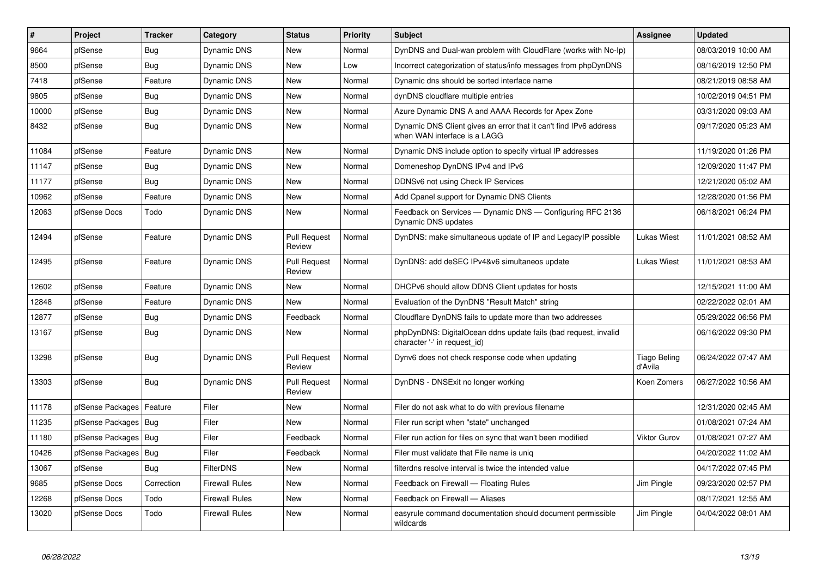| $\sharp$ | Project                | <b>Tracker</b> | Category              | <b>Status</b>                 | <b>Priority</b> | <b>Subject</b>                                                                                    | <b>Assignee</b>                | <b>Updated</b>      |
|----------|------------------------|----------------|-----------------------|-------------------------------|-----------------|---------------------------------------------------------------------------------------------------|--------------------------------|---------------------|
| 9664     | pfSense                | Bug            | <b>Dynamic DNS</b>    | <b>New</b>                    | Normal          | DynDNS and Dual-wan problem with CloudFlare (works with No-Ip)                                    |                                | 08/03/2019 10:00 AM |
| 8500     | pfSense                | Bug            | <b>Dynamic DNS</b>    | New                           | Low             | Incorrect categorization of status/info messages from phpDynDNS                                   |                                | 08/16/2019 12:50 PM |
| 7418     | pfSense                | Feature        | <b>Dynamic DNS</b>    | <b>New</b>                    | Normal          | Dynamic dns should be sorted interface name                                                       |                                | 08/21/2019 08:58 AM |
| 9805     | pfSense                | Bug            | Dynamic DNS           | <b>New</b>                    | Normal          | dynDNS cloudflare multiple entries                                                                |                                | 10/02/2019 04:51 PM |
| 10000    | pfSense                | Bug            | Dynamic DNS           | <b>New</b>                    | Normal          | Azure Dynamic DNS A and AAAA Records for Apex Zone                                                |                                | 03/31/2020 09:03 AM |
| 8432     | pfSense                | Bug            | Dynamic DNS           | <b>New</b>                    | Normal          | Dynamic DNS Client gives an error that it can't find IPv6 address<br>when WAN interface is a LAGG |                                | 09/17/2020 05:23 AM |
| 11084    | pfSense                | Feature        | Dynamic DNS           | <b>New</b>                    | Normal          | Dynamic DNS include option to specify virtual IP addresses                                        |                                | 11/19/2020 01:26 PM |
| 11147    | pfSense                | Bug            | <b>Dynamic DNS</b>    | <b>New</b>                    | Normal          | Domeneshop DynDNS IPv4 and IPv6                                                                   |                                | 12/09/2020 11:47 PM |
| 11177    | pfSense                | <b>Bug</b>     | Dynamic DNS           | <b>New</b>                    | Normal          | DDNSv6 not using Check IP Services                                                                |                                | 12/21/2020 05:02 AM |
| 10962    | pfSense                | Feature        | Dynamic DNS           | <b>New</b>                    | Normal          | Add Cpanel support for Dynamic DNS Clients                                                        |                                | 12/28/2020 01:56 PM |
| 12063    | pfSense Docs           | Todo           | Dynamic DNS           | New                           | Normal          | Feedback on Services — Dynamic DNS — Configuring RFC 2136<br>Dynamic DNS updates                  |                                | 06/18/2021 06:24 PM |
| 12494    | pfSense                | Feature        | <b>Dynamic DNS</b>    | <b>Pull Request</b><br>Review | Normal          | DynDNS: make simultaneous update of IP and LegacyIP possible                                      | <b>Lukas Wiest</b>             | 11/01/2021 08:52 AM |
| 12495    | pfSense                | Feature        | <b>Dynamic DNS</b>    | <b>Pull Request</b><br>Review | Normal          | DynDNS: add deSEC IPv4&v6 simultaneos update                                                      | Lukas Wiest                    | 11/01/2021 08:53 AM |
| 12602    | pfSense                | Feature        | Dynamic DNS           | New                           | Normal          | DHCPv6 should allow DDNS Client updates for hosts                                                 |                                | 12/15/2021 11:00 AM |
| 12848    | pfSense                | Feature        | <b>Dynamic DNS</b>    | New                           | Normal          | Evaluation of the DynDNS "Result Match" string                                                    |                                | 02/22/2022 02:01 AM |
| 12877    | pfSense                | <b>Bug</b>     | <b>Dynamic DNS</b>    | Feedback                      | Normal          | Cloudflare DynDNS fails to update more than two addresses                                         |                                | 05/29/2022 06:56 PM |
| 13167    | pfSense                | Bug            | Dynamic DNS           | New                           | Normal          | phpDynDNS: DigitalOcean ddns update fails (bad request, invalid<br>character '-' in request id)   |                                | 06/16/2022 09:30 PM |
| 13298    | pfSense                | Bug            | Dynamic DNS           | <b>Pull Request</b><br>Review | Normal          | Dynv6 does not check response code when updating                                                  | <b>Tiago Beling</b><br>d'Avila | 06/24/2022 07:47 AM |
| 13303    | pfSense                | <b>Bug</b>     | Dynamic DNS           | <b>Pull Request</b><br>Review | Normal          | DynDNS - DNSExit no longer working                                                                | Koen Zomers                    | 06/27/2022 10:56 AM |
| 11178    | pfSense Packages       | Feature        | Filer                 | <b>New</b>                    | Normal          | Filer do not ask what to do with previous filename                                                |                                | 12/31/2020 02:45 AM |
| 11235    | pfSense Packages   Bug |                | Filer                 | <b>New</b>                    | Normal          | Filer run script when "state" unchanged                                                           |                                | 01/08/2021 07:24 AM |
| 11180    | pfSense Packages   Bug |                | Filer                 | Feedback                      | Normal          | Filer run action for files on sync that wan't been modified                                       | Viktor Gurov                   | 01/08/2021 07:27 AM |
| 10426    | pfSense Packages       | Bug            | Filer                 | Feedback                      | Normal          | Filer must validate that File name is unig                                                        |                                | 04/20/2022 11:02 AM |
| 13067    | pfSense                | <b>Bug</b>     | <b>FilterDNS</b>      | <b>New</b>                    | Normal          | filterdns resolve interval is twice the intended value                                            |                                | 04/17/2022 07:45 PM |
| 9685     | pfSense Docs           | Correction     | <b>Firewall Rules</b> | New                           | Normal          | Feedback on Firewall - Floating Rules                                                             | Jim Pingle                     | 09/23/2020 02:57 PM |
| 12268    | pfSense Docs           | Todo           | Firewall Rules        | <b>New</b>                    | Normal          | Feedback on Firewall - Aliases                                                                    |                                | 08/17/2021 12:55 AM |
| 13020    | pfSense Docs           | Todo           | Firewall Rules        | <b>New</b>                    | Normal          | easyrule command documentation should document permissible<br>wildcards                           | Jim Pingle                     | 04/04/2022 08:01 AM |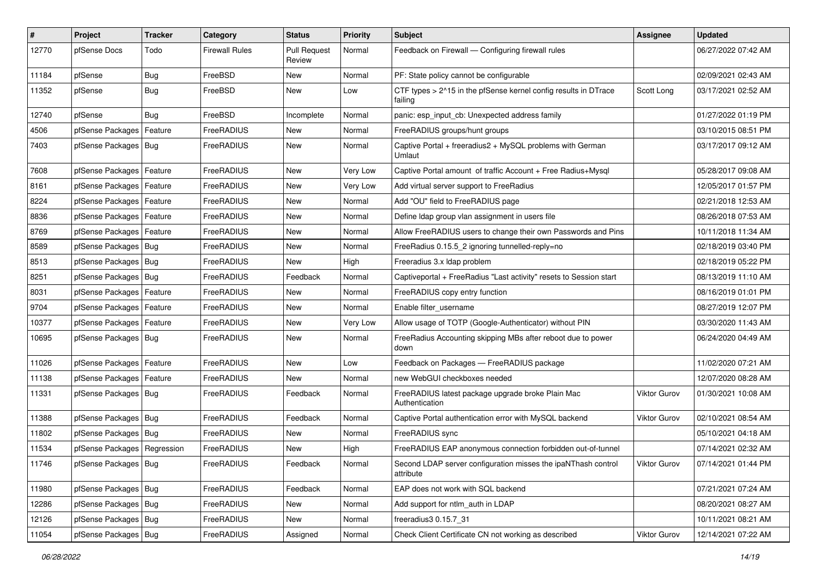| $\vert$ # | Project                       | <b>Tracker</b> | Category          | <b>Status</b>                 | <b>Priority</b> | Subject                                                                    | Assignee            | <b>Updated</b>      |
|-----------|-------------------------------|----------------|-------------------|-------------------------------|-----------------|----------------------------------------------------------------------------|---------------------|---------------------|
| 12770     | pfSense Docs                  | Todo           | Firewall Rules    | <b>Pull Request</b><br>Review | Normal          | Feedback on Firewall — Configuring firewall rules                          |                     | 06/27/2022 07:42 AM |
| 11184     | pfSense                       | Bug            | FreeBSD           | New                           | Normal          | PF: State policy cannot be configurable                                    |                     | 02/09/2021 02:43 AM |
| 11352     | pfSense                       | <b>Bug</b>     | FreeBSD           | New                           | Low             | CTF types > 2^15 in the pfSense kernel config results in DTrace<br>failing | Scott Long          | 03/17/2021 02:52 AM |
| 12740     | pfSense                       | Bug            | FreeBSD           | Incomplete                    | Normal          | panic: esp input cb: Unexpected address family                             |                     | 01/27/2022 01:19 PM |
| 4506      | pfSense Packages              | Feature        | FreeRADIUS        | New                           | Normal          | FreeRADIUS groups/hunt groups                                              |                     | 03/10/2015 08:51 PM |
| 7403      | pfSense Packages   Bug        |                | FreeRADIUS        | <b>New</b>                    | Normal          | Captive Portal + freeradius2 + MySQL problems with German<br>Umlaut        |                     | 03/17/2017 09:12 AM |
| 7608      | pfSense Packages   Feature    |                | FreeRADIUS        | <b>New</b>                    | Very Low        | Captive Portal amount of traffic Account + Free Radius+Mysql               |                     | 05/28/2017 09:08 AM |
| 8161      | pfSense Packages              | Feature        | FreeRADIUS        | New                           | Very Low        | Add virtual server support to FreeRadius                                   |                     | 12/05/2017 01:57 PM |
| 8224      | pfSense Packages              | Feature        | FreeRADIUS        | <b>New</b>                    | Normal          | Add "OU" field to FreeRADIUS page                                          |                     | 02/21/2018 12:53 AM |
| 8836      | pfSense Packages              | Feature        | FreeRADIUS        | New                           | Normal          | Define Idap group vlan assignment in users file                            |                     | 08/26/2018 07:53 AM |
| 8769      | pfSense Packages   Feature    |                | FreeRADIUS        | New                           | Normal          | Allow FreeRADIUS users to change their own Passwords and Pins              |                     | 10/11/2018 11:34 AM |
| 8589      | pfSense Packages   Bug        |                | <b>FreeRADIUS</b> | New                           | Normal          | FreeRadius 0.15.5 2 ignoring tunnelled-reply=no                            |                     | 02/18/2019 03:40 PM |
| 8513      | pfSense Packages              | <b>Bug</b>     | FreeRADIUS        | <b>New</b>                    | High            | Freeradius 3.x Idap problem                                                |                     | 02/18/2019 05:22 PM |
| 8251      | pfSense Packages   Bug        |                | FreeRADIUS        | Feedback                      | Normal          | Captiveportal + FreeRadius "Last activity" resets to Session start         |                     | 08/13/2019 11:10 AM |
| 8031      | pfSense Packages              | Feature        | FreeRADIUS        | <b>New</b>                    | Normal          | FreeRADIUS copy entry function                                             |                     | 08/16/2019 01:01 PM |
| 9704      | pfSense Packages   Feature    |                | FreeRADIUS        | New                           | Normal          | Enable filter_username                                                     |                     | 08/27/2019 12:07 PM |
| 10377     | pfSense Packages   Feature    |                | FreeRADIUS        | New                           | Very Low        | Allow usage of TOTP (Google-Authenticator) without PIN                     |                     | 03/30/2020 11:43 AM |
| 10695     | pfSense Packages   Bug        |                | FreeRADIUS        | <b>New</b>                    | Normal          | FreeRadius Accounting skipping MBs after reboot due to power<br>down       |                     | 06/24/2020 04:49 AM |
| 11026     | pfSense Packages   Feature    |                | FreeRADIUS        | New                           | Low             | Feedback on Packages - FreeRADIUS package                                  |                     | 11/02/2020 07:21 AM |
| 11138     | pfSense Packages              | Feature        | <b>FreeRADIUS</b> | <b>New</b>                    | Normal          | new WebGUI checkboxes needed                                               |                     | 12/07/2020 08:28 AM |
| 11331     | pfSense Packages   Bug        |                | FreeRADIUS        | Feedback                      | Normal          | FreeRADIUS latest package upgrade broke Plain Mac<br>Authentication        | Viktor Gurov        | 01/30/2021 10:08 AM |
| 11388     | pfSense Packages   Bug        |                | FreeRADIUS        | Feedback                      | Normal          | Captive Portal authentication error with MySQL backend                     | Viktor Gurov        | 02/10/2021 08:54 AM |
| 11802     | pfSense Packages   Bug        |                | FreeRADIUS        | New                           | Normal          | FreeRADIUS sync                                                            |                     | 05/10/2021 04:18 AM |
| 11534     | pfSense Packages   Regression |                | FreeRADIUS        | <b>New</b>                    | High            | FreeRADIUS EAP anonymous connection forbidden out-of-tunnel                |                     | 07/14/2021 02:32 AM |
| 11746     | pfSense Packages   Bug        |                | FreeRADIUS        | Feedback                      | Normal          | Second LDAP server configuration misses the ipaNThash control<br>attribute | Viktor Gurov        | 07/14/2021 01:44 PM |
| 11980     | pfSense Packages   Bug        |                | FreeRADIUS        | Feedback                      | Normal          | EAP does not work with SQL backend                                         |                     | 07/21/2021 07:24 AM |
| 12286     | pfSense Packages   Bug        |                | FreeRADIUS        | New                           | Normal          | Add support for ntlm auth in LDAP                                          |                     | 08/20/2021 08:27 AM |
| 12126     | pfSense Packages   Bug        |                | FreeRADIUS        | New                           | Normal          | freeradius3 0.15.7 31                                                      |                     | 10/11/2021 08:21 AM |
| 11054     | pfSense Packages   Bug        |                | FreeRADIUS        | Assigned                      | Normal          | Check Client Certificate CN not working as described                       | <b>Viktor Gurov</b> | 12/14/2021 07:22 AM |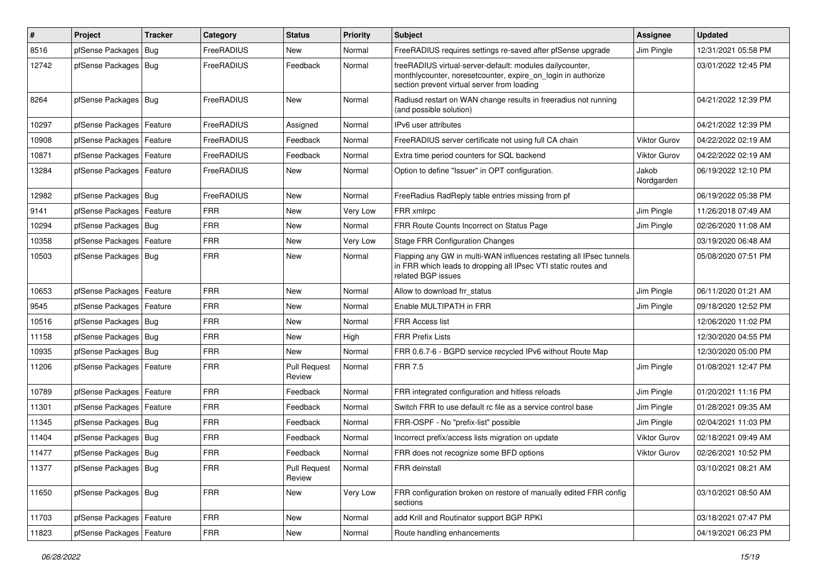| $\pmb{\#}$ | Project                    | <b>Tracker</b> | Category   | <b>Status</b>                 | <b>Priority</b> | <b>Subject</b>                                                                                                                                                          | Assignee            | <b>Updated</b>      |
|------------|----------------------------|----------------|------------|-------------------------------|-----------------|-------------------------------------------------------------------------------------------------------------------------------------------------------------------------|---------------------|---------------------|
| 8516       | pfSense Packages           | <b>Bug</b>     | FreeRADIUS | New                           | Normal          | FreeRADIUS requires settings re-saved after pfSense upgrade                                                                                                             | Jim Pingle          | 12/31/2021 05:58 PM |
| 12742      | pfSense Packages   Bug     |                | FreeRADIUS | Feedback                      | Normal          | freeRADIUS virtual-server-default: modules dailycounter,<br>monthlycounter, noresetcounter, expire_on_login in authorize<br>section prevent virtual server from loading |                     | 03/01/2022 12:45 PM |
| 8264       | pfSense Packages   Bug     |                | FreeRADIUS | <b>New</b>                    | Normal          | Radiusd restart on WAN change results in freeradius not running<br>(and possible solution)                                                                              |                     | 04/21/2022 12:39 PM |
| 10297      | pfSense Packages   Feature |                | FreeRADIUS | Assigned                      | Normal          | IPv6 user attributes                                                                                                                                                    |                     | 04/21/2022 12:39 PM |
| 10908      | pfSense Packages           | Feature        | FreeRADIUS | Feedback                      | Normal          | FreeRADIUS server certificate not using full CA chain                                                                                                                   | Viktor Gurov        | 04/22/2022 02:19 AM |
| 10871      | pfSense Packages           | Feature        | FreeRADIUS | Feedback                      | Normal          | Extra time period counters for SQL backend                                                                                                                              | <b>Viktor Gurov</b> | 04/22/2022 02:19 AM |
| 13284      | pfSense Packages   Feature |                | FreeRADIUS | New                           | Normal          | Option to define "Issuer" in OPT configuration.                                                                                                                         | Jakob<br>Nordgarden | 06/19/2022 12:10 PM |
| 12982      | pfSense Packages   Bug     |                | FreeRADIUS | <b>New</b>                    | Normal          | FreeRadius RadReply table entries missing from pf                                                                                                                       |                     | 06/19/2022 05:38 PM |
| 9141       | pfSense Packages           | Feature        | <b>FRR</b> | New                           | Very Low        | FRR xmlrpc                                                                                                                                                              | Jim Pingle          | 11/26/2018 07:49 AM |
| 10294      | pfSense Packages   Bug     |                | <b>FRR</b> | New                           | Normal          | FRR Route Counts Incorrect on Status Page                                                                                                                               | Jim Pingle          | 02/26/2020 11:08 AM |
| 10358      | pfSense Packages   Feature |                | <b>FRR</b> | New                           | Very Low        | <b>Stage FRR Configuration Changes</b>                                                                                                                                  |                     | 03/19/2020 06:48 AM |
| 10503      | pfSense Packages   Bug     |                | <b>FRR</b> | New                           | Normal          | Flapping any GW in multi-WAN influences restating all IPsec tunnels<br>in FRR which leads to dropping all IPsec VTI static routes and<br>related BGP issues             |                     | 05/08/2020 07:51 PM |
| 10653      | pfSense Packages           | Feature        | <b>FRR</b> | New                           | Normal          | Allow to download frr status                                                                                                                                            | Jim Pingle          | 06/11/2020 01:21 AM |
| 9545       | pfSense Packages           | Feature        | <b>FRR</b> | New                           | Normal          | Enable MULTIPATH in FRR                                                                                                                                                 | Jim Pingle          | 09/18/2020 12:52 PM |
| 10516      | pfSense Packages   Bug     |                | <b>FRR</b> | New                           | Normal          | FRR Access list                                                                                                                                                         |                     | 12/06/2020 11:02 PM |
| 11158      | pfSense Packages   Bug     |                | <b>FRR</b> | New                           | High            | <b>FRR Prefix Lists</b>                                                                                                                                                 |                     | 12/30/2020 04:55 PM |
| 10935      | pfSense Packages   Bug     |                | <b>FRR</b> | New                           | Normal          | FRR 0.6.7-6 - BGPD service recycled IPv6 without Route Map                                                                                                              |                     | 12/30/2020 05:00 PM |
| 11206      | pfSense Packages           | Feature        | <b>FRR</b> | <b>Pull Request</b><br>Review | Normal          | <b>FRR 7.5</b>                                                                                                                                                          | Jim Pingle          | 01/08/2021 12:47 PM |
| 10789      | pfSense Packages   Feature |                | <b>FRR</b> | Feedback                      | Normal          | FRR integrated configuration and hitless reloads                                                                                                                        | Jim Pingle          | 01/20/2021 11:16 PM |
| 11301      | pfSense Packages           | Feature        | <b>FRR</b> | Feedback                      | Normal          | Switch FRR to use default rc file as a service control base                                                                                                             | Jim Pingle          | 01/28/2021 09:35 AM |
| 11345      | pfSense Packages           | Bug            | <b>FRR</b> | Feedback                      | Normal          | FRR-OSPF - No "prefix-list" possible                                                                                                                                    | Jim Pingle          | 02/04/2021 11:03 PM |
| 11404      | pfSense Packages   Bug     |                | <b>FRR</b> | Feedback                      | Normal          | Incorrect prefix/access lists migration on update                                                                                                                       | Viktor Gurov        | 02/18/2021 09:49 AM |
| 11477      | pfSense Packages   Bug     |                | <b>FRR</b> | Feedback                      | Normal          | FRR does not recognize some BFD options                                                                                                                                 | <b>Viktor Gurov</b> | 02/26/2021 10:52 PM |
| 11377      | pfSense Packages   Bug     |                | <b>FRR</b> | <b>Pull Request</b><br>Review | Normal          | FRR deinstall                                                                                                                                                           |                     | 03/10/2021 08:21 AM |
| 11650      | pfSense Packages   Bug     |                | <b>FRR</b> | New                           | Very Low        | FRR configuration broken on restore of manually edited FRR config<br>sections                                                                                           |                     | 03/10/2021 08:50 AM |
| 11703      | pfSense Packages   Feature |                | <b>FRR</b> | New                           | Normal          | add Krill and Routinator support BGP RPKI                                                                                                                               |                     | 03/18/2021 07:47 PM |
| 11823      | pfSense Packages           | Feature        | <b>FRR</b> | New                           | Normal          | Route handling enhancements                                                                                                                                             |                     | 04/19/2021 06:23 PM |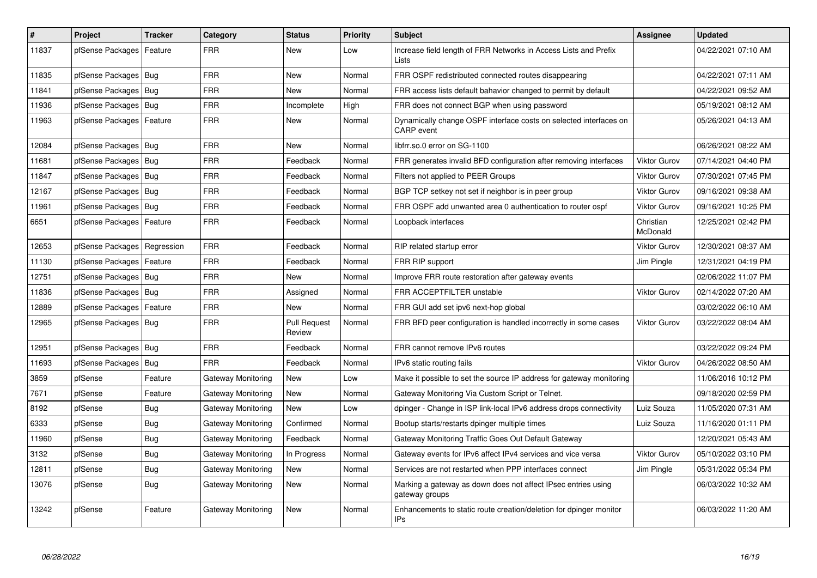| $\vert$ # | Project                | <b>Tracker</b> | Category           | <b>Status</b>                 | <b>Priority</b> | <b>Subject</b>                                                                         | <b>Assignee</b>       | <b>Updated</b>      |
|-----------|------------------------|----------------|--------------------|-------------------------------|-----------------|----------------------------------------------------------------------------------------|-----------------------|---------------------|
| 11837     | pfSense Packages       | Feature        | <b>FRR</b>         | <b>New</b>                    | Low             | Increase field length of FRR Networks in Access Lists and Prefix<br>Lists              |                       | 04/22/2021 07:10 AM |
| 11835     | pfSense Packages   Bug |                | <b>FRR</b>         | <b>New</b>                    | Normal          | FRR OSPF redistributed connected routes disappearing                                   |                       | 04/22/2021 07:11 AM |
| 11841     | pfSense Packages   Bug |                | <b>FRR</b>         | <b>New</b>                    | Normal          | FRR access lists default bahavior changed to permit by default                         |                       | 04/22/2021 09:52 AM |
| 11936     | pfSense Packages   Bug |                | <b>FRR</b>         | Incomplete                    | High            | FRR does not connect BGP when using password                                           |                       | 05/19/2021 08:12 AM |
| 11963     | pfSense Packages       | Feature        | FRR                | <b>New</b>                    | Normal          | Dynamically change OSPF interface costs on selected interfaces on<br><b>CARP</b> event |                       | 05/26/2021 04:13 AM |
| 12084     | pfSense Packages   Bug |                | <b>FRR</b>         | <b>New</b>                    | Normal          | libfrr.so.0 error on SG-1100                                                           |                       | 06/26/2021 08:22 AM |
| 11681     | pfSense Packages   Bug |                | FRR                | Feedback                      | Normal          | FRR generates invalid BFD configuration after removing interfaces                      | Viktor Gurov          | 07/14/2021 04:40 PM |
| 11847     | pfSense Packages   Bug |                | <b>FRR</b>         | Feedback                      | Normal          | Filters not applied to PEER Groups                                                     | <b>Viktor Gurov</b>   | 07/30/2021 07:45 PM |
| 12167     | pfSense Packages   Bug |                | <b>FRR</b>         | Feedback                      | Normal          | BGP TCP setkey not set if neighbor is in peer group                                    | <b>Viktor Gurov</b>   | 09/16/2021 09:38 AM |
| 11961     | pfSense Packages   Bug |                | <b>FRR</b>         | Feedback                      | Normal          | FRR OSPF add unwanted area 0 authentication to router ospf                             | Viktor Gurov          | 09/16/2021 10:25 PM |
| 6651      | pfSense Packages       | Feature        | FRR                | Feedback                      | Normal          | Loopback interfaces                                                                    | Christian<br>McDonald | 12/25/2021 02:42 PM |
| 12653     | pfSense Packages       | Regression     | <b>FRR</b>         | Feedback                      | Normal          | RIP related startup error                                                              | <b>Viktor Gurov</b>   | 12/30/2021 08:37 AM |
| 11130     | pfSense Packages       | Feature        | FRR                | Feedback                      | Normal          | FRR RIP support                                                                        | Jim Pingle            | 12/31/2021 04:19 PM |
| 12751     | pfSense Packages       | Bug            | <b>FRR</b>         | <b>New</b>                    | Normal          | Improve FRR route restoration after gateway events                                     |                       | 02/06/2022 11:07 PM |
| 11836     | pfSense Packages   Bug |                | <b>FRR</b>         | Assigned                      | Normal          | FRR ACCEPTFILTER unstable                                                              | <b>Viktor Gurov</b>   | 02/14/2022 07:20 AM |
| 12889     | pfSense Packages       | Feature        | <b>FRR</b>         | <b>New</b>                    | Normal          | FRR GUI add set ipv6 next-hop global                                                   |                       | 03/02/2022 06:10 AM |
| 12965     | pfSense Packages       | Bug            | <b>FRR</b>         | <b>Pull Request</b><br>Review | Normal          | FRR BFD peer configuration is handled incorrectly in some cases                        | <b>Viktor Gurov</b>   | 03/22/2022 08:04 AM |
| 12951     | pfSense Packages   Bug |                | <b>FRR</b>         | Feedback                      | Normal          | FRR cannot remove IPv6 routes                                                          |                       | 03/22/2022 09:24 PM |
| 11693     | pfSense Packages       | Bug            | <b>FRR</b>         | Feedback                      | Normal          | IPv6 static routing fails                                                              | Viktor Gurov          | 04/26/2022 08:50 AM |
| 3859      | pfSense                | Feature        | Gateway Monitoring | <b>New</b>                    | Low             | Make it possible to set the source IP address for gateway monitoring                   |                       | 11/06/2016 10:12 PM |
| 7671      | pfSense                | Feature        | Gateway Monitoring | New                           | Normal          | Gateway Monitoring Via Custom Script or Telnet.                                        |                       | 09/18/2020 02:59 PM |
| 8192      | pfSense                | Bug            | Gateway Monitoring | New                           | Low             | dpinger - Change in ISP link-local IPv6 address drops connectivity                     | Luiz Souza            | 11/05/2020 07:31 AM |
| 6333      | pfSense                | Bug            | Gateway Monitoring | Confirmed                     | Normal          | Bootup starts/restarts dpinger multiple times                                          | Luiz Souza            | 11/16/2020 01:11 PM |
| 11960     | pfSense                | <b>Bug</b>     | Gateway Monitoring | Feedback                      | Normal          | Gateway Monitoring Traffic Goes Out Default Gateway                                    |                       | 12/20/2021 05:43 AM |
| 3132      | pfSense                | Bug            | Gateway Monitoring | In Progress                   | Normal          | Gateway events for IPv6 affect IPv4 services and vice versa                            | <b>Viktor Gurov</b>   | 05/10/2022 03:10 PM |
| 12811     | pfSense                | Bug            | Gateway Monitoring | <b>New</b>                    | Normal          | Services are not restarted when PPP interfaces connect                                 | Jim Pingle            | 05/31/2022 05:34 PM |
| 13076     | pfSense                | <b>Bug</b>     | Gateway Monitoring | New                           | Normal          | Marking a gateway as down does not affect IPsec entries using<br>gateway groups        |                       | 06/03/2022 10:32 AM |
| 13242     | pfSense                | Feature        | Gateway Monitoring | <b>New</b>                    | Normal          | Enhancements to static route creation/deletion for dpinger monitor<br><b>IPs</b>       |                       | 06/03/2022 11:20 AM |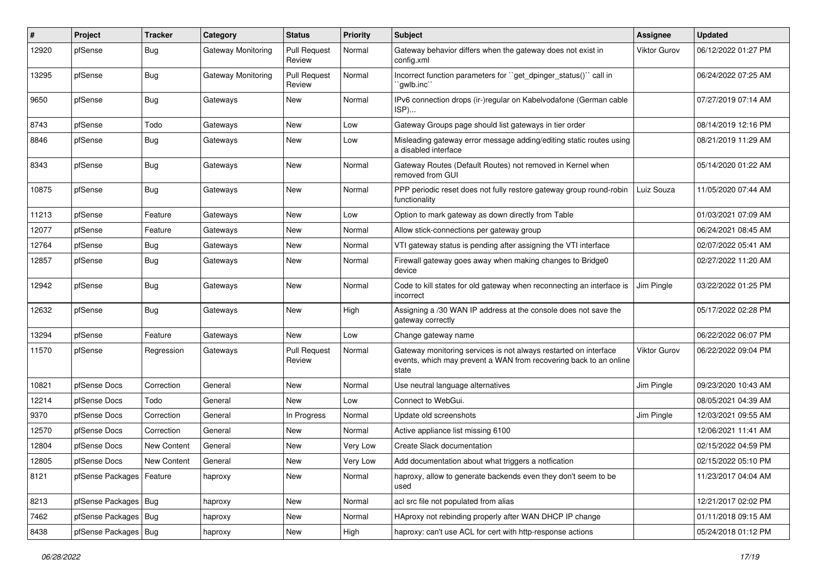| #     | Project                | <b>Tracker</b> | Category                  | <b>Status</b>                 | <b>Priority</b> | <b>Subject</b>                                                                                                                                 | <b>Assignee</b>     | <b>Updated</b>      |
|-------|------------------------|----------------|---------------------------|-------------------------------|-----------------|------------------------------------------------------------------------------------------------------------------------------------------------|---------------------|---------------------|
| 12920 | pfSense                | Bug            | <b>Gateway Monitoring</b> | <b>Pull Request</b><br>Review | Normal          | Gateway behavior differs when the gateway does not exist in<br>config.xml                                                                      | <b>Viktor Gurov</b> | 06/12/2022 01:27 PM |
| 13295 | pfSense                | Bug            | Gateway Monitoring        | <b>Pull Request</b><br>Review | Normal          | Incorrect function parameters for "get_dpinger_status()" call in<br>`gwlb.inc`                                                                 |                     | 06/24/2022 07:25 AM |
| 9650  | pfSense                | Bug            | Gateways                  | New                           | Normal          | IPv6 connection drops (ir-)regular on Kabelvodafone (German cable<br>ISP)                                                                      |                     | 07/27/2019 07:14 AM |
| 8743  | pfSense                | Todo           | Gateways                  | New                           | Low             | Gateway Groups page should list gateways in tier order                                                                                         |                     | 08/14/2019 12:16 PM |
| 8846  | pfSense                | Bug            | Gateways                  | New                           | Low             | Misleading gateway error message adding/editing static routes using<br>a disabled interface                                                    |                     | 08/21/2019 11:29 AM |
| 8343  | pfSense                | Bug            | Gateways                  | New                           | Normal          | Gateway Routes (Default Routes) not removed in Kernel when<br>removed from GUI                                                                 |                     | 05/14/2020 01:22 AM |
| 10875 | pfSense                | Bug            | Gateways                  | <b>New</b>                    | Normal          | PPP periodic reset does not fully restore gateway group round-robin<br>functionality                                                           | Luiz Souza          | 11/05/2020 07:44 AM |
| 11213 | pfSense                | Feature        | Gateways                  | New                           | Low             | Option to mark gateway as down directly from Table                                                                                             |                     | 01/03/2021 07:09 AM |
| 12077 | pfSense                | Feature        | Gateways                  | New                           | Normal          | Allow stick-connections per gateway group                                                                                                      |                     | 06/24/2021 08:45 AM |
| 12764 | pfSense                | Bug            | Gateways                  | <b>New</b>                    | Normal          | VTI gateway status is pending after assigning the VTI interface                                                                                |                     | 02/07/2022 05:41 AM |
| 12857 | pfSense                | <b>Bug</b>     | Gateways                  | New                           | Normal          | Firewall gateway goes away when making changes to Bridge0<br>device                                                                            |                     | 02/27/2022 11:20 AM |
| 12942 | pfSense                | Bug            | Gateways                  | New                           | Normal          | Code to kill states for old gateway when reconnecting an interface is<br>incorrect                                                             | Jim Pingle          | 03/22/2022 01:25 PM |
| 12632 | pfSense                | Bug            | Gateways                  | New                           | High            | Assigning a /30 WAN IP address at the console does not save the<br>gateway correctly                                                           |                     | 05/17/2022 02:28 PM |
| 13294 | pfSense                | Feature        | Gateways                  | <b>New</b>                    | Low             | Change gateway name                                                                                                                            |                     | 06/22/2022 06:07 PM |
| 11570 | pfSense                | Regression     | Gateways                  | <b>Pull Request</b><br>Review | Normal          | Gateway monitoring services is not always restarted on interface<br>events, which may prevent a WAN from recovering back to an online<br>state | <b>Viktor Gurov</b> | 06/22/2022 09:04 PM |
| 10821 | pfSense Docs           | Correction     | General                   | <b>New</b>                    | Normal          | Use neutral language alternatives                                                                                                              | Jim Pingle          | 09/23/2020 10:43 AM |
| 12214 | pfSense Docs           | Todo           | General                   | <b>New</b>                    | Low             | Connect to WebGui.                                                                                                                             |                     | 08/05/2021 04:39 AM |
| 9370  | pfSense Docs           | Correction     | General                   | In Progress                   | Normal          | Update old screenshots                                                                                                                         | Jim Pingle          | 12/03/2021 09:55 AM |
| 12570 | pfSense Docs           | Correction     | General                   | <b>New</b>                    | Normal          | Active appliance list missing 6100                                                                                                             |                     | 12/06/2021 11:41 AM |
| 12804 | pfSense Docs           | New Content    | General                   | <b>New</b>                    | Very Low        | Create Slack documentation                                                                                                                     |                     | 02/15/2022 04:59 PM |
| 12805 | pfSense Docs           | New Content    | General                   | New                           | Very Low        | Add documentation about what triggers a notfication                                                                                            |                     | 02/15/2022 05:10 PM |
| 8121  | pfSense Packages       | Feature        | haproxy                   | New                           | Normal          | haproxy, allow to generate backends even they don't seem to be<br>used                                                                         |                     | 11/23/2017 04:04 AM |
| 8213  | pfSense Packages   Bug |                | haproxy                   | New                           | Normal          | acl src file not populated from alias                                                                                                          |                     | 12/21/2017 02:02 PM |
| 7462  | pfSense Packages   Bug |                | haproxy                   | New                           | Normal          | HAproxy not rebinding properly after WAN DHCP IP change                                                                                        |                     | 01/11/2018 09:15 AM |
| 8438  | pfSense Packages   Bug |                | haproxy                   | New                           | High            | haproxy: can't use ACL for cert with http-response actions                                                                                     |                     | 05/24/2018 01:12 PM |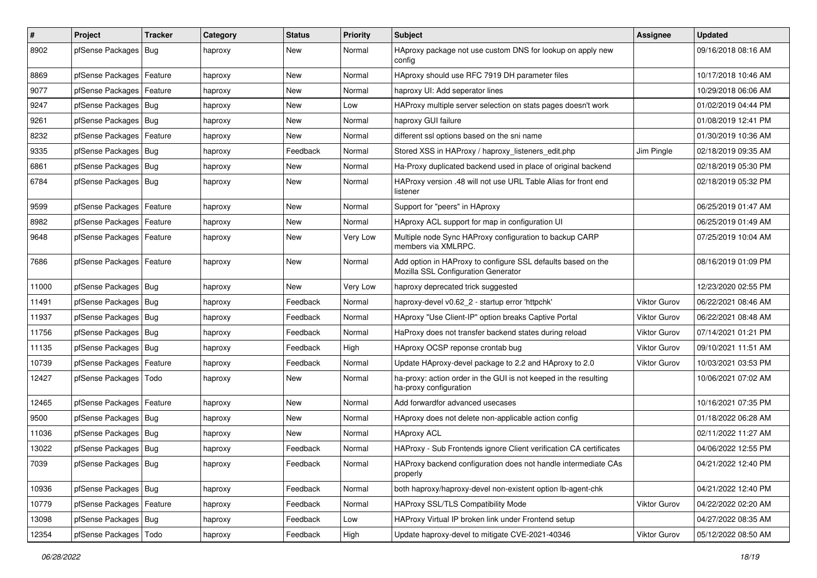| $\vert$ # | Project                    | <b>Tracker</b> | Category | <b>Status</b> | <b>Priority</b> | <b>Subject</b>                                                                                      | Assignee            | <b>Updated</b>      |
|-----------|----------------------------|----------------|----------|---------------|-----------------|-----------------------------------------------------------------------------------------------------|---------------------|---------------------|
| 8902      | pfSense Packages           | Bug            | haproxy  | New           | Normal          | HAproxy package not use custom DNS for lookup on apply new<br>config                                |                     | 09/16/2018 08:16 AM |
| 8869      | pfSense Packages   Feature |                | haproxy  | New           | Normal          | HAproxy should use RFC 7919 DH parameter files                                                      |                     | 10/17/2018 10:46 AM |
| 9077      | pfSense Packages   Feature |                | haproxy  | New           | Normal          | haproxy UI: Add seperator lines                                                                     |                     | 10/29/2018 06:06 AM |
| 9247      | pfSense Packages   Bug     |                | haproxy  | New           | Low             | HAProxy multiple server selection on stats pages doesn't work                                       |                     | 01/02/2019 04:44 PM |
| 9261      | pfSense Packages   Bug     |                | haproxy  | New           | Normal          | haproxy GUI failure                                                                                 |                     | 01/08/2019 12:41 PM |
| 8232      | pfSense Packages   Feature |                | haproxy  | New           | Normal          | different ssl options based on the sni name                                                         |                     | 01/30/2019 10:36 AM |
| 9335      | pfSense Packages   Bug     |                | haproxy  | Feedback      | Normal          | Stored XSS in HAProxy / haproxy_listeners_edit.php                                                  | Jim Pingle          | 02/18/2019 09:35 AM |
| 6861      | pfSense Packages   Bug     |                | haproxy  | New           | Normal          | Ha-Proxy duplicated backend used in place of original backend                                       |                     | 02/18/2019 05:30 PM |
| 6784      | pfSense Packages   Bug     |                | haproxy  | New           | Normal          | HAProxy version .48 will not use URL Table Alias for front end<br>listener                          |                     | 02/18/2019 05:32 PM |
| 9599      | pfSense Packages   Feature |                | haproxy  | New           | Normal          | Support for "peers" in HAproxy                                                                      |                     | 06/25/2019 01:47 AM |
| 8982      | pfSense Packages   Feature |                | haproxy  | New           | Normal          | HAproxy ACL support for map in configuration UI                                                     |                     | 06/25/2019 01:49 AM |
| 9648      | pfSense Packages   Feature |                | haproxy  | New           | Very Low        | Multiple node Sync HAProxy configuration to backup CARP<br>members via XMLRPC.                      |                     | 07/25/2019 10:04 AM |
| 7686      | pfSense Packages   Feature |                | haproxy  | New           | Normal          | Add option in HAProxy to configure SSL defaults based on the<br>Mozilla SSL Configuration Generator |                     | 08/16/2019 01:09 PM |
| 11000     | pfSense Packages   Bug     |                | haproxy  | <b>New</b>    | Very Low        | haproxy deprecated trick suggested                                                                  |                     | 12/23/2020 02:55 PM |
| 11491     | pfSense Packages Bug       |                | haproxy  | Feedback      | Normal          | haproxy-devel v0.62 2 - startup error 'httpchk'                                                     | Viktor Gurov        | 06/22/2021 08:46 AM |
| 11937     | pfSense Packages   Bug     |                | haproxy  | Feedback      | Normal          | HAproxy "Use Client-IP" option breaks Captive Portal                                                | <b>Viktor Gurov</b> | 06/22/2021 08:48 AM |
| 11756     | pfSense Packages   Bug     |                | haproxy  | Feedback      | Normal          | HaProxy does not transfer backend states during reload                                              | Viktor Gurov        | 07/14/2021 01:21 PM |
| 11135     | pfSense Packages   Bug     |                | haproxy  | Feedback      | High            | HAproxy OCSP reponse crontab bug                                                                    | <b>Viktor Gurov</b> | 09/10/2021 11:51 AM |
| 10739     | pfSense Packages           | Feature        | haproxy  | Feedback      | Normal          | Update HAproxy-devel package to 2.2 and HAproxy to 2.0                                              | Viktor Gurov        | 10/03/2021 03:53 PM |
| 12427     | pfSense Packages           | Todo           | haproxy  | New           | Normal          | ha-proxy: action order in the GUI is not keeped in the resulting<br>ha-proxy configuration          |                     | 10/06/2021 07:02 AM |
| 12465     | pfSense Packages   Feature |                | haproxy  | <b>New</b>    | Normal          | Add forwardfor advanced usecases                                                                    |                     | 10/16/2021 07:35 PM |
| 9500      | pfSense Packages   Bug     |                | haproxy  | New           | Normal          | HAproxy does not delete non-applicable action config                                                |                     | 01/18/2022 06:28 AM |
| 11036     | pfSense Packages   Bug     |                | haproxy  | New           | Normal          | <b>HAproxy ACL</b>                                                                                  |                     | 02/11/2022 11:27 AM |
| 13022     | pfSense Packages   Bug     |                | haproxy  | Feedback      | Normal          | HAProxy - Sub Frontends ignore Client verification CA certificates                                  |                     | 04/06/2022 12:55 PM |
| 7039      | pfSense Packages   Bug     |                | haproxy  | Feedback      | Normal          | HAProxy backend configuration does not handle intermediate CAs<br>properly                          |                     | 04/21/2022 12:40 PM |
| 10936     | pfSense Packages   Bug     |                | haproxy  | Feedback      | Normal          | both haproxy/haproxy-devel non-existent option lb-agent-chk                                         |                     | 04/21/2022 12:40 PM |
| 10779     | pfSense Packages   Feature |                | haproxy  | Feedback      | Normal          | HAProxy SSL/TLS Compatibility Mode                                                                  | Viktor Gurov        | 04/22/2022 02:20 AM |
| 13098     | pfSense Packages   Bug     |                | haproxy  | Feedback      | Low             | HAProxy Virtual IP broken link under Frontend setup                                                 |                     | 04/27/2022 08:35 AM |
| 12354     | pfSense Packages           | Todo           | haproxy  | Feedback      | High            | Update haproxy-devel to mitigate CVE-2021-40346                                                     | Viktor Gurov        | 05/12/2022 08:50 AM |